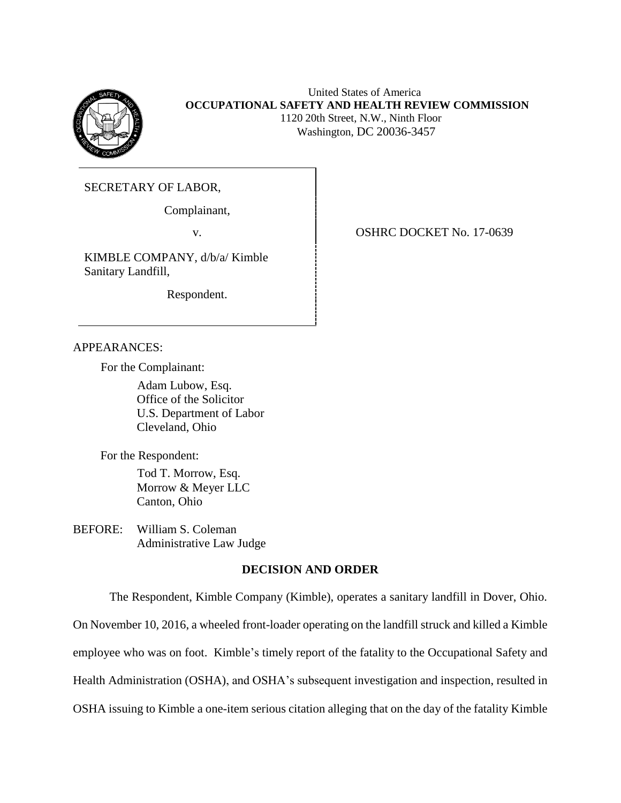

 United States of America **OCCUPATIONAL SAFETY AND HEALTH REVIEW COMMISSION** 1120 20th Street, N.W., Ninth Floor Washington, DC 20036-3457

SECRETARY OF LABOR,

Complainant,

KIMBLE COMPANY, d/b/a/ Kimble Sanitary Landfill,

Respondent.

v. 6. OSHRC DOCKET No. 17-0639

### APPEARANCES:

For the Complainant:

Adam Lubow, Esq. Office of the Solicitor U.S. Department of Labor Cleveland, Ohio

For the Respondent:

Tod T. Morrow, Esq. Morrow & Meyer LLC Canton, Ohio

BEFORE: William S. Coleman Administrative Law Judge

# **DECISION AND ORDER**

The Respondent, Kimble Company (Kimble), operates a sanitary landfill in Dover, Ohio.

On November 10, 2016, a wheeled front-loader operating on the landfill struck and killed a Kimble

employee who was on foot. Kimble's timely report of the fatality to the Occupational Safety and

Health Administration (OSHA), and OSHA's subsequent investigation and inspection, resulted in

OSHA issuing to Kimble a one-item serious citation alleging that on the day of the fatality Kimble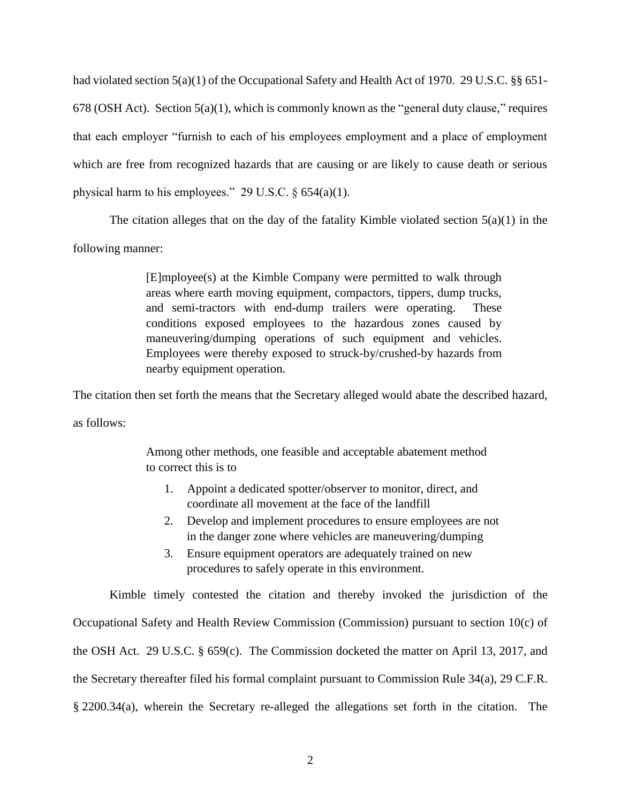had violated section 5(a)(1) of the Occupational Safety and Health Act of 1970. 29 U.S.C. §§ 651- 678 (OSH Act). Section 5(a)(1), which is commonly known as the "general duty clause," requires that each employer "furnish to each of his employees employment and a place of employment which are free from recognized hazards that are causing or are likely to cause death or serious physical harm to his employees." 29 U.S.C. § 654(a)(1).

The citation alleges that on the day of the fatality Kimble violated section  $5(a)(1)$  in the

following manner:

[E]mployee(s) at the Kimble Company were permitted to walk through areas where earth moving equipment, compactors, tippers, dump trucks, and semi-tractors with end-dump trailers were operating. These conditions exposed employees to the hazardous zones caused by maneuvering/dumping operations of such equipment and vehicles. Employees were thereby exposed to struck-by/crushed-by hazards from nearby equipment operation.

The citation then set forth the means that the Secretary alleged would abate the described hazard,

as follows:

Among other methods, one feasible and acceptable abatement method to correct this is to

- 1. Appoint a dedicated spotter/observer to monitor, direct, and coordinate all movement at the face of the landfill
- 2. Develop and implement procedures to ensure employees are not in the danger zone where vehicles are maneuvering/dumping
- 3. Ensure equipment operators are adequately trained on new procedures to safely operate in this environment.

Kimble timely contested the citation and thereby invoked the jurisdiction of the Occupational Safety and Health Review Commission (Commission) pursuant to section 10(c) of the OSH Act. 29 U.S.C. § 659(c). The Commission docketed the matter on April 13, 2017, and the Secretary thereafter filed his formal complaint pursuant to Commission Rule 34(a), 29 C.F.R. § 2200.34(a), wherein the Secretary re-alleged the allegations set forth in the citation. The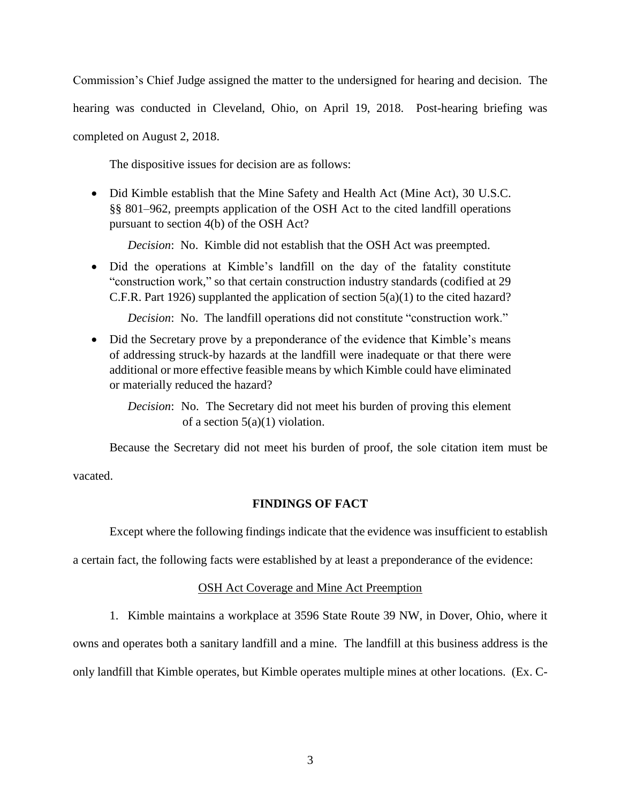Commission's Chief Judge assigned the matter to the undersigned for hearing and decision. The

hearing was conducted in Cleveland, Ohio, on April 19, 2018. Post-hearing briefing was

completed on August 2, 2018.

The dispositive issues for decision are as follows:

• Did Kimble establish that the Mine Safety and Health Act (Mine Act), 30 U.S.C. §§ 801–962, preempts application of the OSH Act to the cited landfill operations pursuant to section 4(b) of the OSH Act?

*Decision*: No. Kimble did not establish that the OSH Act was preempted.

• Did the operations at Kimble's landfill on the day of the fatality constitute "construction work," so that certain construction industry standards (codified at 29 C.F.R. Part 1926) supplanted the application of section 5(a)(1) to the cited hazard?

*Decision*: No. The landfill operations did not constitute "construction work."

- Did the Secretary prove by a preponderance of the evidence that Kimble's means of addressing struck-by hazards at the landfill were inadequate or that there were additional or more effective feasible means by which Kimble could have eliminated or materially reduced the hazard?
	- *Decision*: No. The Secretary did not meet his burden of proving this element of a section  $5(a)(1)$  violation.

Because the Secretary did not meet his burden of proof, the sole citation item must be

vacated.

### **FINDINGS OF FACT**

Except where the following findings indicate that the evidence was insufficient to establish

a certain fact, the following facts were established by at least a preponderance of the evidence:

### OSH Act Coverage and Mine Act Preemption

1. Kimble maintains a workplace at 3596 State Route 39 NW, in Dover, Ohio, where it

owns and operates both a sanitary landfill and a mine. The landfill at this business address is the

only landfill that Kimble operates, but Kimble operates multiple mines at other locations. (Ex. C-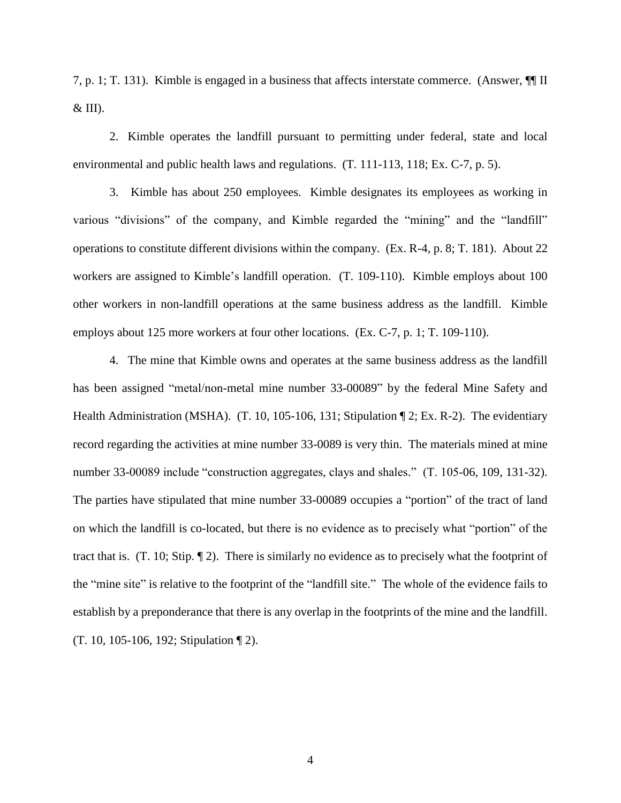7, p. 1; T. 131). Kimble is engaged in a business that affects interstate commerce. (Answer, ¶¶ II  $&$  III).

2. Kimble operates the landfill pursuant to permitting under federal, state and local environmental and public health laws and regulations. (T. 111-113, 118; Ex. C-7, p. 5).

3. Kimble has about 250 employees. Kimble designates its employees as working in various "divisions" of the company, and Kimble regarded the "mining" and the "landfill" operations to constitute different divisions within the company. (Ex. R-4, p. 8; T. 181). About 22 workers are assigned to Kimble's landfill operation. (T. 109-110). Kimble employs about 100 other workers in non-landfill operations at the same business address as the landfill. Kimble employs about 125 more workers at four other locations. (Ex. C-7, p. 1; T. 109-110).

4. The mine that Kimble owns and operates at the same business address as the landfill has been assigned "metal/non-metal mine number 33-00089" by the federal Mine Safety and Health Administration (MSHA). (T. 10, 105-106, 131; Stipulation  $\P$  2; Ex. R-2). The evidentiary record regarding the activities at mine number 33-0089 is very thin. The materials mined at mine number 33-00089 include "construction aggregates, clays and shales." (T. 105-06, 109, 131-32). The parties have stipulated that mine number 33-00089 occupies a "portion" of the tract of land on which the landfill is co-located, but there is no evidence as to precisely what "portion" of the tract that is. (T. 10; Stip. ¶ 2). There is similarly no evidence as to precisely what the footprint of the "mine site" is relative to the footprint of the "landfill site." The whole of the evidence fails to establish by a preponderance that there is any overlap in the footprints of the mine and the landfill. (T. 10, 105-106, 192; Stipulation ¶ 2).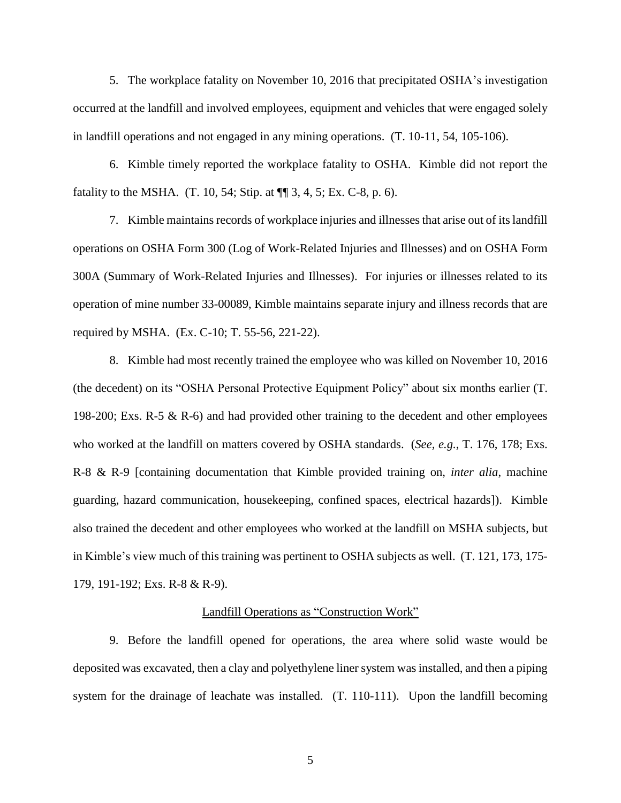5. The workplace fatality on November 10, 2016 that precipitated OSHA's investigation occurred at the landfill and involved employees, equipment and vehicles that were engaged solely in landfill operations and not engaged in any mining operations. (T. 10-11, 54, 105-106).

6. Kimble timely reported the workplace fatality to OSHA. Kimble did not report the fatality to the MSHA.  $(T. 10, 54; Stip. at  $\sqrt{\pi}$  3, 4, 5; Ex. C-8, p. 6).$ 

7. Kimble maintains records of workplace injuries and illnesses that arise out of its landfill operations on OSHA Form 300 (Log of Work-Related Injuries and Illnesses) and on OSHA Form 300A (Summary of Work-Related Injuries and Illnesses). For injuries or illnesses related to its operation of mine number 33-00089, Kimble maintains separate injury and illness records that are required by MSHA. (Ex. C-10; T. 55-56, 221-22).

8. Kimble had most recently trained the employee who was killed on November 10, 2016 (the decedent) on its "OSHA Personal Protective Equipment Policy" about six months earlier (T. 198-200; Exs. R-5 & R-6) and had provided other training to the decedent and other employees who worked at the landfill on matters covered by OSHA standards. (*See, e.g.*, T. 176, 178; Exs. R-8 & R-9 [containing documentation that Kimble provided training on, *inter alia*, machine guarding, hazard communication, housekeeping, confined spaces, electrical hazards]). Kimble also trained the decedent and other employees who worked at the landfill on MSHA subjects, but in Kimble's view much of this training was pertinent to OSHA subjects as well. (T. 121, 173, 175- 179, 191-192; Exs. R-8 & R-9).

### Landfill Operations as "Construction Work"

9. Before the landfill opened for operations, the area where solid waste would be deposited was excavated, then a clay and polyethylene liner system was installed, and then a piping system for the drainage of leachate was installed. (T. 110-111). Upon the landfill becoming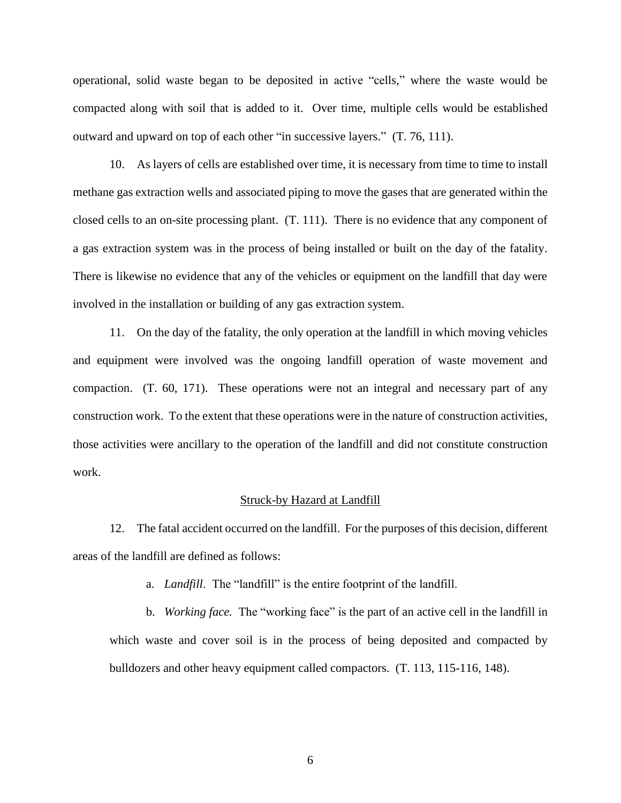operational, solid waste began to be deposited in active "cells," where the waste would be compacted along with soil that is added to it. Over time, multiple cells would be established outward and upward on top of each other "in successive layers." (T. 76, 111).

10. As layers of cells are established over time, it is necessary from time to time to install methane gas extraction wells and associated piping to move the gases that are generated within the closed cells to an on-site processing plant. (T. 111). There is no evidence that any component of a gas extraction system was in the process of being installed or built on the day of the fatality. There is likewise no evidence that any of the vehicles or equipment on the landfill that day were involved in the installation or building of any gas extraction system.

11. On the day of the fatality, the only operation at the landfill in which moving vehicles and equipment were involved was the ongoing landfill operation of waste movement and compaction. (T. 60, 171). These operations were not an integral and necessary part of any construction work. To the extent that these operations were in the nature of construction activities, those activities were ancillary to the operation of the landfill and did not constitute construction work.

#### Struck-by Hazard at Landfill

12. The fatal accident occurred on the landfill. For the purposes of this decision, different areas of the landfill are defined as follows:

a. *Landfill*. The "landfill" is the entire footprint of the landfill.

b. *Working face.* The "working face" is the part of an active cell in the landfill in which waste and cover soil is in the process of being deposited and compacted by bulldozers and other heavy equipment called compactors. (T. 113, 115-116, 148).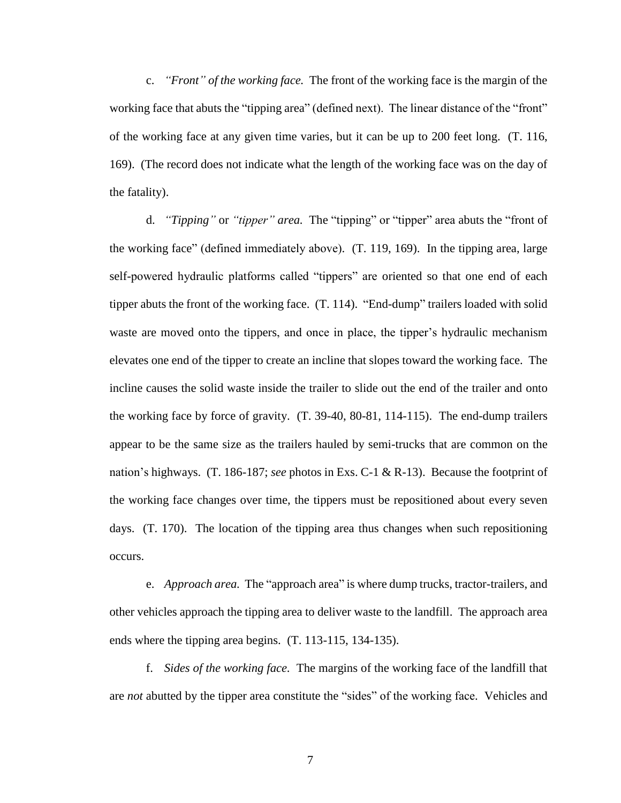c. *"Front" of the working face.* The front of the working face is the margin of the working face that abuts the "tipping area" (defined next). The linear distance of the "front" of the working face at any given time varies, but it can be up to 200 feet long. (T. 116, 169). (The record does not indicate what the length of the working face was on the day of the fatality).

d. *"Tipping"* or *"tipper" area.* The "tipping" or "tipper" area abuts the "front of the working face" (defined immediately above). (T. 119, 169). In the tipping area, large self-powered hydraulic platforms called "tippers" are oriented so that one end of each tipper abuts the front of the working face. (T. 114). "End-dump" trailers loaded with solid waste are moved onto the tippers, and once in place, the tipper's hydraulic mechanism elevates one end of the tipper to create an incline that slopes toward the working face. The incline causes the solid waste inside the trailer to slide out the end of the trailer and onto the working face by force of gravity. (T. 39-40, 80-81, 114-115). The end-dump trailers appear to be the same size as the trailers hauled by semi-trucks that are common on the nation's highways. (T. 186-187; *see* photos in Exs. C-1 & R-13). Because the footprint of the working face changes over time, the tippers must be repositioned about every seven days. (T. 170). The location of the tipping area thus changes when such repositioning occurs.

e. *Approach area.* The "approach area" is where dump trucks, tractor-trailers, and other vehicles approach the tipping area to deliver waste to the landfill. The approach area ends where the tipping area begins. (T. 113-115, 134-135).

f. *Sides of the working face.* The margins of the working face of the landfill that are *not* abutted by the tipper area constitute the "sides" of the working face. Vehicles and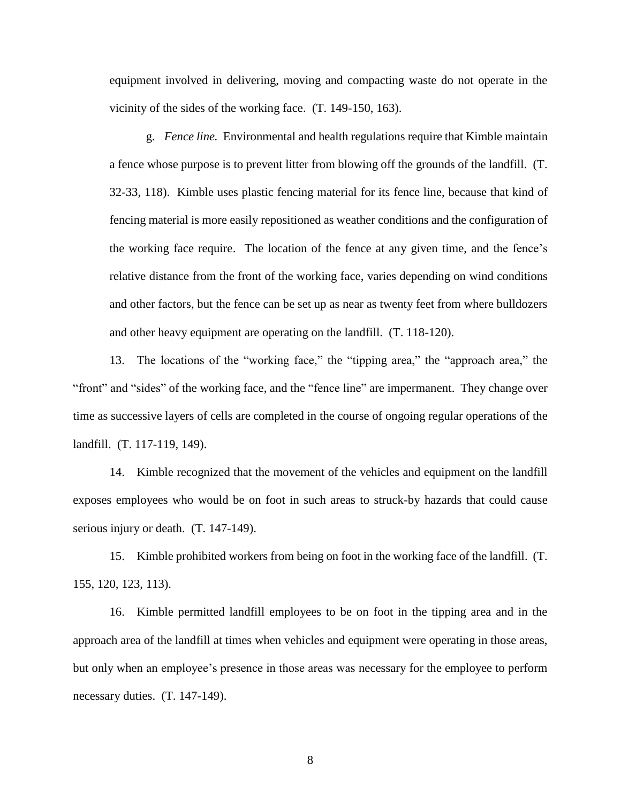equipment involved in delivering, moving and compacting waste do not operate in the vicinity of the sides of the working face. (T. 149-150, 163).

g. *Fence line.* Environmental and health regulations require that Kimble maintain a fence whose purpose is to prevent litter from blowing off the grounds of the landfill. (T. 32-33, 118). Kimble uses plastic fencing material for its fence line, because that kind of fencing material is more easily repositioned as weather conditions and the configuration of the working face require. The location of the fence at any given time, and the fence's relative distance from the front of the working face, varies depending on wind conditions and other factors, but the fence can be set up as near as twenty feet from where bulldozers and other heavy equipment are operating on the landfill. (T. 118-120).

13. The locations of the "working face," the "tipping area," the "approach area," the "front" and "sides" of the working face, and the "fence line" are impermanent. They change over time as successive layers of cells are completed in the course of ongoing regular operations of the landfill. (T. 117-119, 149).

14. Kimble recognized that the movement of the vehicles and equipment on the landfill exposes employees who would be on foot in such areas to struck-by hazards that could cause serious injury or death. (T. 147-149).

15. Kimble prohibited workers from being on foot in the working face of the landfill. (T. 155, 120, 123, 113).

16. Kimble permitted landfill employees to be on foot in the tipping area and in the approach area of the landfill at times when vehicles and equipment were operating in those areas, but only when an employee's presence in those areas was necessary for the employee to perform necessary duties. (T. 147-149).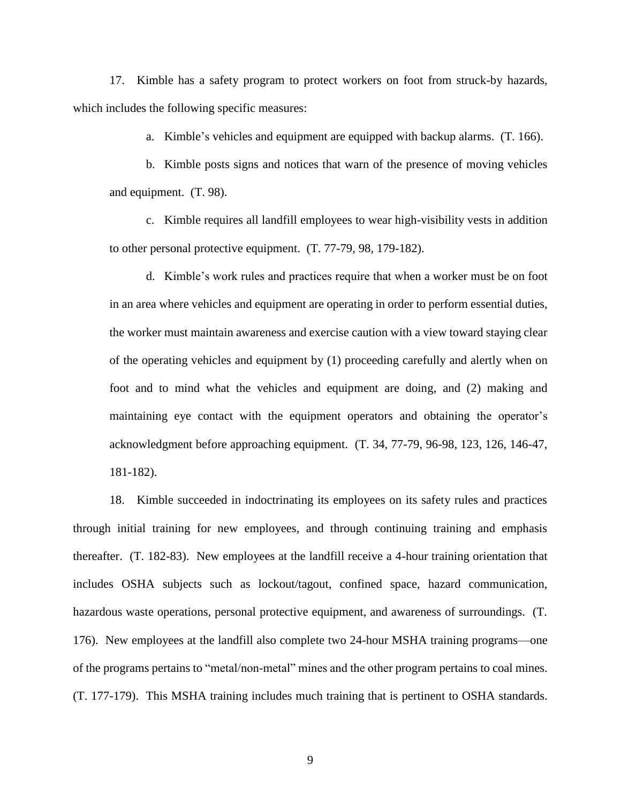17. Kimble has a safety program to protect workers on foot from struck-by hazards, which includes the following specific measures:

a. Kimble's vehicles and equipment are equipped with backup alarms. (T. 166).

b. Kimble posts signs and notices that warn of the presence of moving vehicles and equipment. (T. 98).

c. Kimble requires all landfill employees to wear high-visibility vests in addition to other personal protective equipment. (T. 77-79, 98, 179-182).

d. Kimble's work rules and practices require that when a worker must be on foot in an area where vehicles and equipment are operating in order to perform essential duties, the worker must maintain awareness and exercise caution with a view toward staying clear of the operating vehicles and equipment by (1) proceeding carefully and alertly when on foot and to mind what the vehicles and equipment are doing, and (2) making and maintaining eye contact with the equipment operators and obtaining the operator's acknowledgment before approaching equipment. (T. 34, 77-79, 96-98, 123, 126, 146-47, 181-182).

18. Kimble succeeded in indoctrinating its employees on its safety rules and practices through initial training for new employees, and through continuing training and emphasis thereafter. (T. 182-83). New employees at the landfill receive a 4-hour training orientation that includes OSHA subjects such as lockout/tagout, confined space, hazard communication, hazardous waste operations, personal protective equipment, and awareness of surroundings. (T. 176). New employees at the landfill also complete two 24-hour MSHA training programs—one of the programs pertains to "metal/non-metal" mines and the other program pertains to coal mines. (T. 177-179). This MSHA training includes much training that is pertinent to OSHA standards.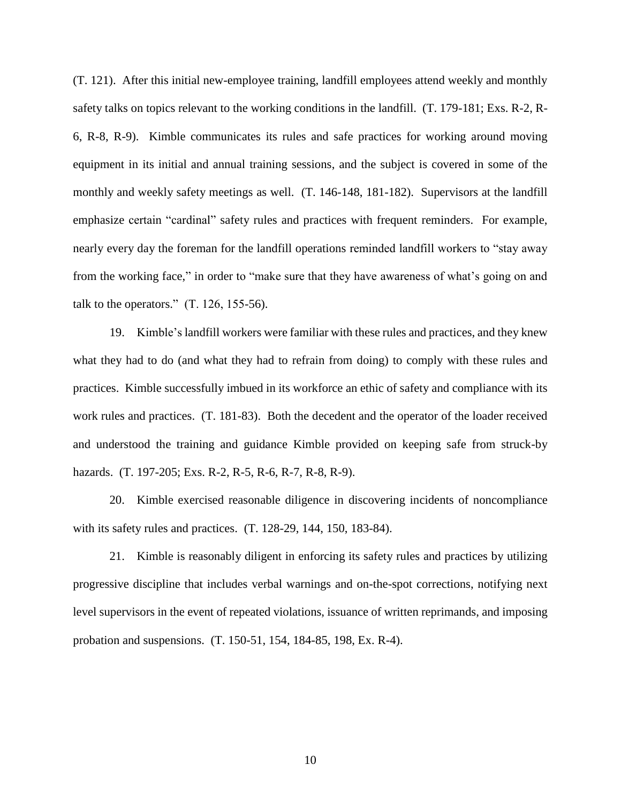(T. 121). After this initial new-employee training, landfill employees attend weekly and monthly safety talks on topics relevant to the working conditions in the landfill. (T. 179-181; Exs. R-2, R-6, R-8, R-9). Kimble communicates its rules and safe practices for working around moving equipment in its initial and annual training sessions, and the subject is covered in some of the monthly and weekly safety meetings as well. (T. 146-148, 181-182). Supervisors at the landfill emphasize certain "cardinal" safety rules and practices with frequent reminders. For example, nearly every day the foreman for the landfill operations reminded landfill workers to "stay away from the working face," in order to "make sure that they have awareness of what's going on and talk to the operators."  $(T. 126, 155-56)$ .

19. Kimble's landfill workers were familiar with these rules and practices, and they knew what they had to do (and what they had to refrain from doing) to comply with these rules and practices. Kimble successfully imbued in its workforce an ethic of safety and compliance with its work rules and practices. (T. 181-83). Both the decedent and the operator of the loader received and understood the training and guidance Kimble provided on keeping safe from struck-by hazards. (T. 197-205; Exs. R-2, R-5, R-6, R-7, R-8, R-9).

20. Kimble exercised reasonable diligence in discovering incidents of noncompliance with its safety rules and practices. (T. 128-29, 144, 150, 183-84).

21. Kimble is reasonably diligent in enforcing its safety rules and practices by utilizing progressive discipline that includes verbal warnings and on-the-spot corrections, notifying next level supervisors in the event of repeated violations, issuance of written reprimands, and imposing probation and suspensions. (T. 150-51, 154, 184-85, 198, Ex. R-4).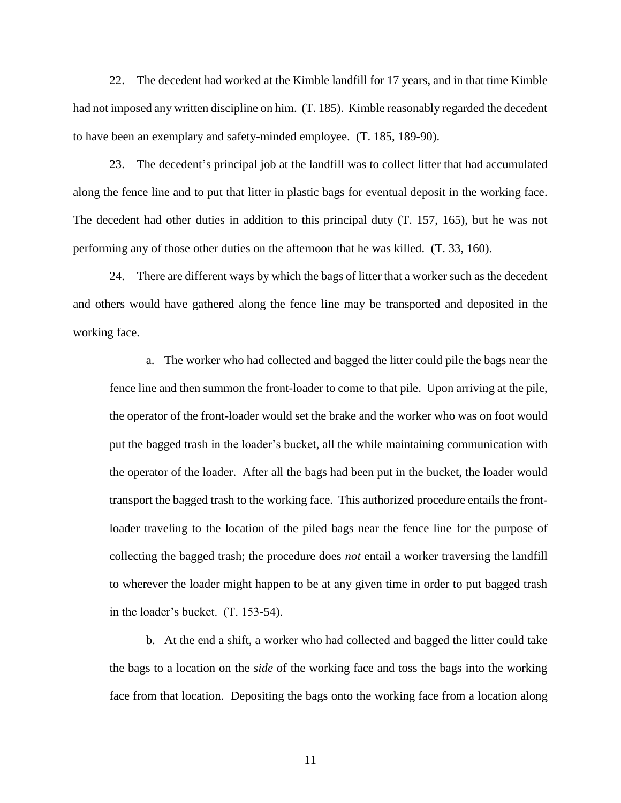22. The decedent had worked at the Kimble landfill for 17 years, and in that time Kimble had not imposed any written discipline on him. (T. 185). Kimble reasonably regarded the decedent to have been an exemplary and safety-minded employee. (T. 185, 189-90).

23. The decedent's principal job at the landfill was to collect litter that had accumulated along the fence line and to put that litter in plastic bags for eventual deposit in the working face. The decedent had other duties in addition to this principal duty (T. 157, 165), but he was not performing any of those other duties on the afternoon that he was killed. (T. 33, 160).

24. There are different ways by which the bags of litter that a worker such as the decedent and others would have gathered along the fence line may be transported and deposited in the working face.

a. The worker who had collected and bagged the litter could pile the bags near the fence line and then summon the front-loader to come to that pile. Upon arriving at the pile, the operator of the front-loader would set the brake and the worker who was on foot would put the bagged trash in the loader's bucket, all the while maintaining communication with the operator of the loader. After all the bags had been put in the bucket, the loader would transport the bagged trash to the working face. This authorized procedure entails the frontloader traveling to the location of the piled bags near the fence line for the purpose of collecting the bagged trash; the procedure does *not* entail a worker traversing the landfill to wherever the loader might happen to be at any given time in order to put bagged trash in the loader's bucket. (T. 153-54).

b. At the end a shift, a worker who had collected and bagged the litter could take the bags to a location on the *side* of the working face and toss the bags into the working face from that location. Depositing the bags onto the working face from a location along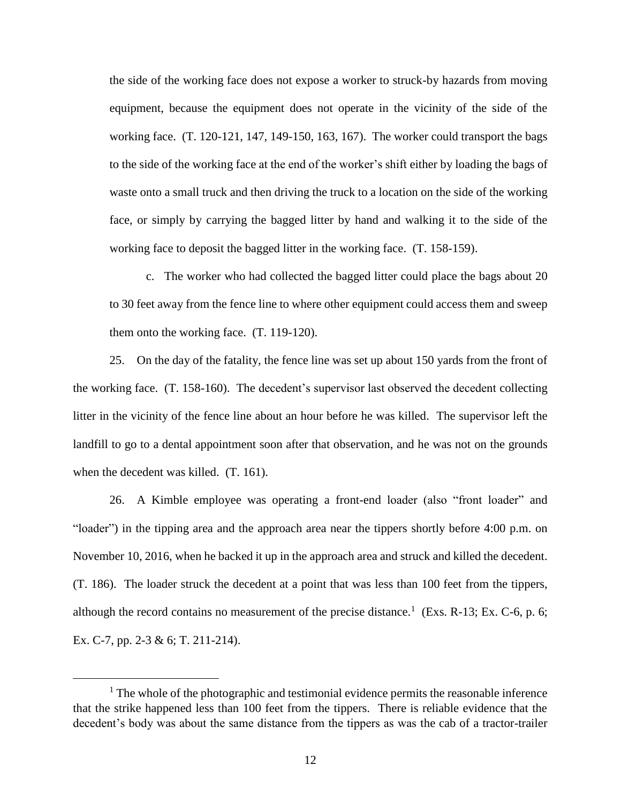the side of the working face does not expose a worker to struck-by hazards from moving equipment, because the equipment does not operate in the vicinity of the side of the working face. (T. 120-121, 147, 149-150, 163, 167). The worker could transport the bags to the side of the working face at the end of the worker's shift either by loading the bags of waste onto a small truck and then driving the truck to a location on the side of the working face, or simply by carrying the bagged litter by hand and walking it to the side of the working face to deposit the bagged litter in the working face. (T. 158-159).

c. The worker who had collected the bagged litter could place the bags about 20 to 30 feet away from the fence line to where other equipment could access them and sweep them onto the working face. (T. 119-120).

25. On the day of the fatality, the fence line was set up about 150 yards from the front of the working face. (T. 158-160). The decedent's supervisor last observed the decedent collecting litter in the vicinity of the fence line about an hour before he was killed. The supervisor left the landfill to go to a dental appointment soon after that observation, and he was not on the grounds when the decedent was killed. (T. 161).

26. A Kimble employee was operating a front-end loader (also "front loader" and "loader") in the tipping area and the approach area near the tippers shortly before 4:00 p.m. on November 10, 2016, when he backed it up in the approach area and struck and killed the decedent. (T. 186). The loader struck the decedent at a point that was less than 100 feet from the tippers, although the record contains no measurement of the precise distance.<sup>1</sup> (Exs. R-13; Ex. C-6, p. 6; Ex. C-7, pp. 2-3 & 6; T. 211-214).

 $<sup>1</sup>$  The whole of the photographic and testimonial evidence permits the reasonable inference</sup> that the strike happened less than 100 feet from the tippers. There is reliable evidence that the decedent's body was about the same distance from the tippers as was the cab of a tractor-trailer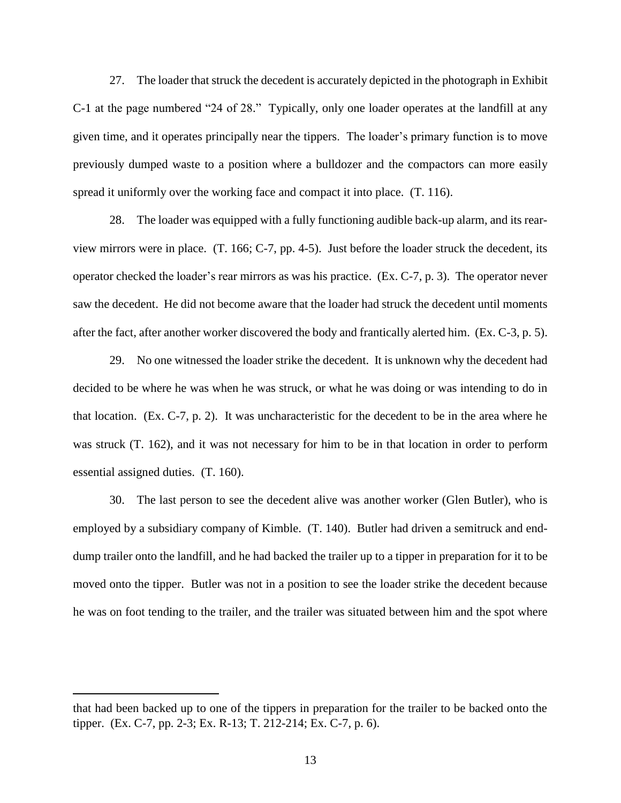27. The loader that struck the decedent is accurately depicted in the photograph in Exhibit C-1 at the page numbered "24 of 28." Typically, only one loader operates at the landfill at any given time, and it operates principally near the tippers. The loader's primary function is to move previously dumped waste to a position where a bulldozer and the compactors can more easily spread it uniformly over the working face and compact it into place. (T. 116).

28. The loader was equipped with a fully functioning audible back-up alarm, and its rearview mirrors were in place. (T. 166; C-7, pp. 4-5). Just before the loader struck the decedent, its operator checked the loader's rear mirrors as was his practice. (Ex. C-7, p. 3). The operator never saw the decedent. He did not become aware that the loader had struck the decedent until moments after the fact, after another worker discovered the body and frantically alerted him. (Ex. C-3, p. 5).

29. No one witnessed the loader strike the decedent. It is unknown why the decedent had decided to be where he was when he was struck, or what he was doing or was intending to do in that location. (Ex. C-7, p. 2). It was uncharacteristic for the decedent to be in the area where he was struck (T. 162), and it was not necessary for him to be in that location in order to perform essential assigned duties. (T. 160).

30. The last person to see the decedent alive was another worker (Glen Butler), who is employed by a subsidiary company of Kimble. (T. 140). Butler had driven a semitruck and enddump trailer onto the landfill, and he had backed the trailer up to a tipper in preparation for it to be moved onto the tipper. Butler was not in a position to see the loader strike the decedent because he was on foot tending to the trailer, and the trailer was situated between him and the spot where

that had been backed up to one of the tippers in preparation for the trailer to be backed onto the tipper. (Ex. C-7, pp. 2-3; Ex. R-13; T. 212-214; Ex. C-7, p. 6).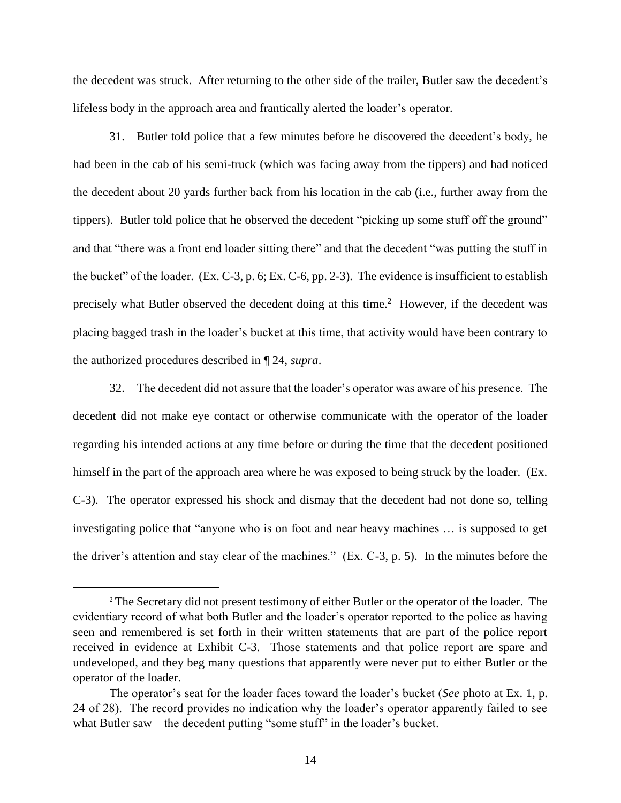the decedent was struck. After returning to the other side of the trailer, Butler saw the decedent's lifeless body in the approach area and frantically alerted the loader's operator.

31. Butler told police that a few minutes before he discovered the decedent's body, he had been in the cab of his semi-truck (which was facing away from the tippers) and had noticed the decedent about 20 yards further back from his location in the cab (i.e., further away from the tippers). Butler told police that he observed the decedent "picking up some stuff off the ground" and that "there was a front end loader sitting there" and that the decedent "was putting the stuff in the bucket" of the loader. (Ex. C-3, p. 6; Ex. C-6, pp. 2-3). The evidence is insufficient to establish precisely what Butler observed the decedent doing at this time.<sup>2</sup> However, if the decedent was placing bagged trash in the loader's bucket at this time, that activity would have been contrary to the authorized procedures described in ¶ 24, *supra*.

32. The decedent did not assure that the loader's operator was aware of his presence. The decedent did not make eye contact or otherwise communicate with the operator of the loader regarding his intended actions at any time before or during the time that the decedent positioned himself in the part of the approach area where he was exposed to being struck by the loader. (Ex. C-3). The operator expressed his shock and dismay that the decedent had not done so, telling investigating police that "anyone who is on foot and near heavy machines … is supposed to get the driver's attention and stay clear of the machines." (Ex. C-3, p. 5). In the minutes before the

<sup>2</sup> The Secretary did not present testimony of either Butler or the operator of the loader. The evidentiary record of what both Butler and the loader's operator reported to the police as having seen and remembered is set forth in their written statements that are part of the police report received in evidence at Exhibit C-3. Those statements and that police report are spare and undeveloped, and they beg many questions that apparently were never put to either Butler or the operator of the loader.

The operator's seat for the loader faces toward the loader's bucket (*See* photo at Ex. 1, p. 24 of 28). The record provides no indication why the loader's operator apparently failed to see what Butler saw—the decedent putting "some stuff" in the loader's bucket.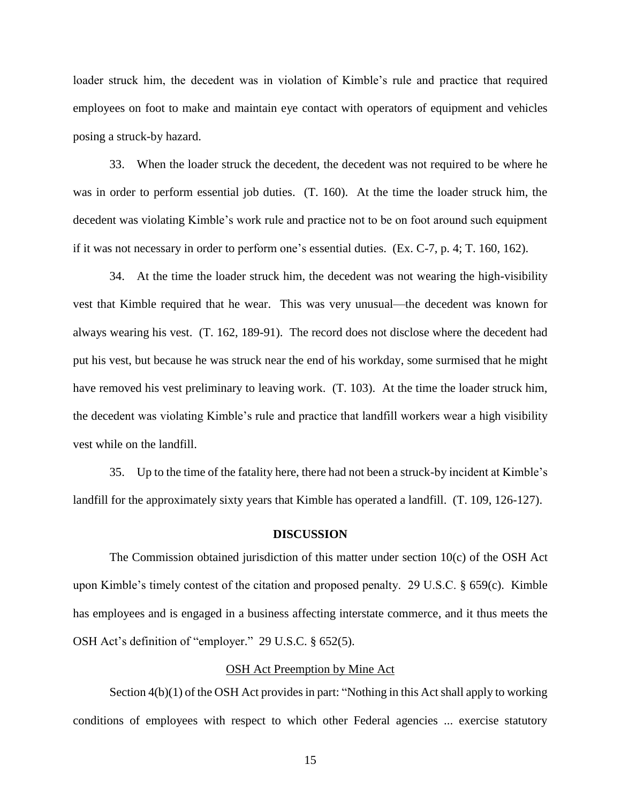loader struck him, the decedent was in violation of Kimble's rule and practice that required employees on foot to make and maintain eye contact with operators of equipment and vehicles posing a struck-by hazard.

33. When the loader struck the decedent, the decedent was not required to be where he was in order to perform essential job duties. (T. 160). At the time the loader struck him, the decedent was violating Kimble's work rule and practice not to be on foot around such equipment if it was not necessary in order to perform one's essential duties. (Ex. C-7, p. 4; T. 160, 162).

34. At the time the loader struck him, the decedent was not wearing the high-visibility vest that Kimble required that he wear. This was very unusual—the decedent was known for always wearing his vest. (T. 162, 189-91). The record does not disclose where the decedent had put his vest, but because he was struck near the end of his workday, some surmised that he might have removed his vest preliminary to leaving work. (T. 103). At the time the loader struck him, the decedent was violating Kimble's rule and practice that landfill workers wear a high visibility vest while on the landfill.

35. Up to the time of the fatality here, there had not been a struck-by incident at Kimble's landfill for the approximately sixty years that Kimble has operated a landfill. (T. 109, 126-127).

#### **DISCUSSION**

The Commission obtained jurisdiction of this matter under section 10(c) of the OSH Act upon Kimble's timely contest of the citation and proposed penalty. 29 U.S.C. § 659(c). Kimble has employees and is engaged in a business affecting interstate commerce, and it thus meets the OSH Act's definition of "employer." 29 U.S.C. § 652(5).

### OSH Act Preemption by Mine Act

Section  $4(b)(1)$  of the OSH Act provides in part: "Nothing in this Act shall apply to working conditions of employees with respect to which other Federal agencies ... exercise statutory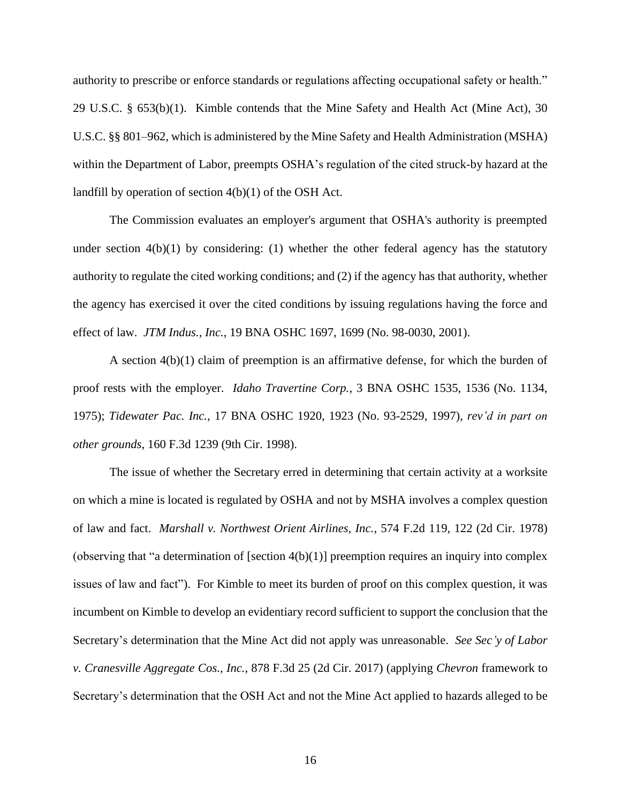authority to prescribe or enforce standards or regulations affecting occupational safety or health." 29 U.S.C. § 653(b)(1). Kimble contends that the Mine Safety and Health Act (Mine Act), 30 U.S.C. §§ 801–962, which is administered by the Mine Safety and Health Administration (MSHA) within the Department of Labor, preempts OSHA's regulation of the cited struck-by hazard at the landfill by operation of section 4(b)(1) of the OSH Act.

The Commission evaluates an employer's argument that OSHA's authority is preempted under section  $4(b)(1)$  by considering: (1) whether the other federal agency has the statutory authority to regulate the cited working conditions; and (2) if the agency has that authority, whether the agency has exercised it over the cited conditions by issuing regulations having the force and effect of law. *JTM Indus., Inc.*, 19 BNA OSHC 1697, 1699 (No. 98-0030, 2001).

A section 4(b)(1) claim of preemption is an affirmative defense, for which the burden of proof rests with the employer. *Idaho Travertine Corp.*, 3 BNA OSHC 1535, 1536 (No. 1134, 1975); *Tidewater Pac. Inc.*, 17 BNA OSHC 1920, 1923 (No. 93-2529, 1997), *rev'd in part on other grounds*, 160 F.3d 1239 (9th Cir. 1998).

The issue of whether the Secretary erred in determining that certain activity at a worksite on which a mine is located is regulated by OSHA and not by MSHA involves a complex question of law and fact. *Marshall v. Northwest Orient Airlines, Inc.*, 574 F.2d 119, 122 (2d Cir. 1978) (observing that "a determination of [section 4(b)(1)] preemption requires an inquiry into complex issues of law and fact"). For Kimble to meet its burden of proof on this complex question, it was incumbent on Kimble to develop an evidentiary record sufficient to support the conclusion that the Secretary's determination that the Mine Act did not apply was unreasonable. *See Sec'y of Labor v. Cranesville Aggregate Cos., Inc.*, 878 F.3d 25 (2d Cir. 2017) (applying *Chevron* framework to Secretary's determination that the OSH Act and not the Mine Act applied to hazards alleged to be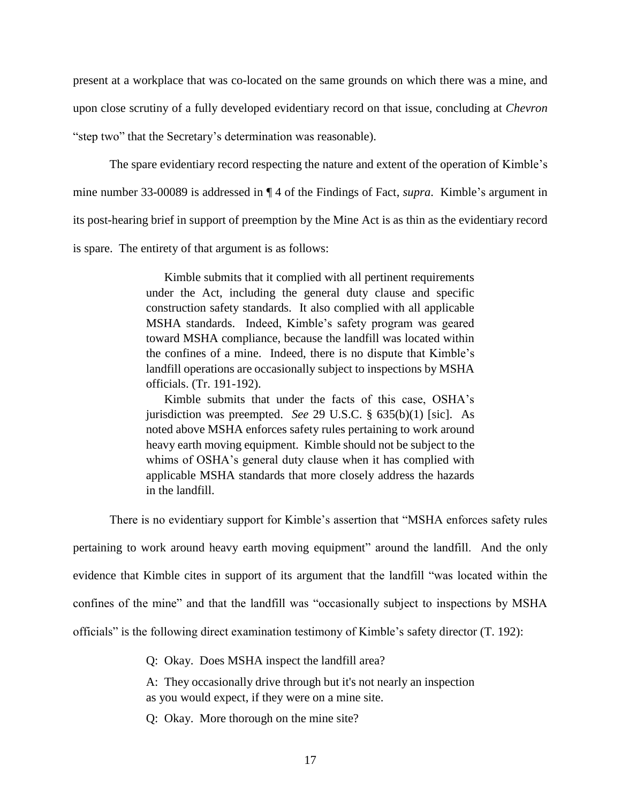present at a workplace that was co-located on the same grounds on which there was a mine, and upon close scrutiny of a fully developed evidentiary record on that issue, concluding at *Chevron* "step two" that the Secretary's determination was reasonable).

The spare evidentiary record respecting the nature and extent of the operation of Kimble's mine number 33-00089 is addressed in ¶ 4 of the Findings of Fact, *supra*. Kimble's argument in its post-hearing brief in support of preemption by the Mine Act is as thin as the evidentiary record is spare. The entirety of that argument is as follows:

> Kimble submits that it complied with all pertinent requirements under the Act, including the general duty clause and specific construction safety standards. It also complied with all applicable MSHA standards. Indeed, Kimble's safety program was geared toward MSHA compliance, because the landfill was located within the confines of a mine. Indeed, there is no dispute that Kimble's landfill operations are occasionally subject to inspections by MSHA officials. (Tr. 191-192).

> Kimble submits that under the facts of this case, OSHA's jurisdiction was preempted. *See* 29 U.S.C. § 635(b)(1) [sic]. As noted above MSHA enforces safety rules pertaining to work around heavy earth moving equipment. Kimble should not be subject to the whims of OSHA's general duty clause when it has complied with applicable MSHA standards that more closely address the hazards in the landfill.

There is no evidentiary support for Kimble's assertion that "MSHA enforces safety rules

pertaining to work around heavy earth moving equipment" around the landfill. And the only evidence that Kimble cites in support of its argument that the landfill "was located within the confines of the mine" and that the landfill was "occasionally subject to inspections by MSHA officials" is the following direct examination testimony of Kimble's safety director (T. 192):

Q: Okay. Does MSHA inspect the landfill area?

A: They occasionally drive through but it's not nearly an inspection as you would expect, if they were on a mine site.

Q: Okay. More thorough on the mine site?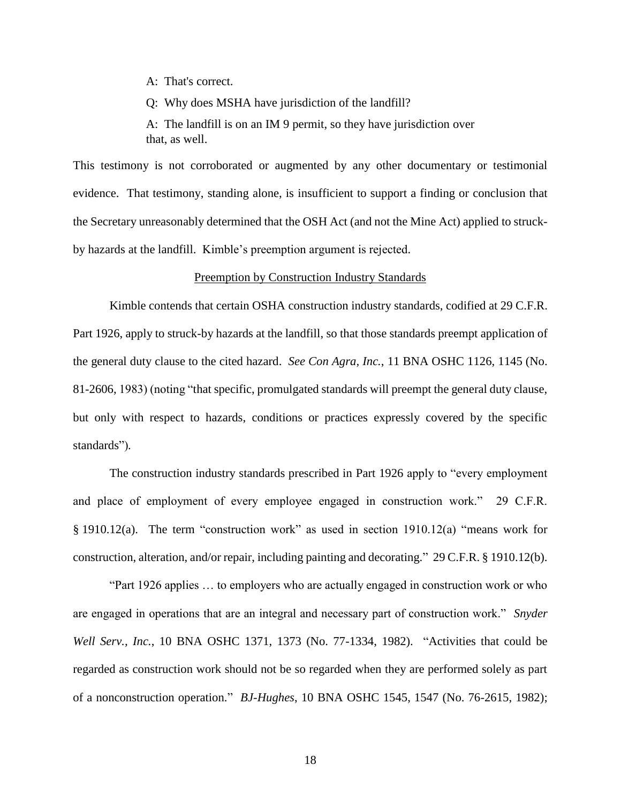A: That's correct.

Q: Why does MSHA have jurisdiction of the landfill?

A: The landfill is on an IM 9 permit, so they have jurisdiction over that, as well.

This testimony is not corroborated or augmented by any other documentary or testimonial evidence. That testimony, standing alone, is insufficient to support a finding or conclusion that the Secretary unreasonably determined that the OSH Act (and not the Mine Act) applied to struckby hazards at the landfill. Kimble's preemption argument is rejected.

#### Preemption by Construction Industry Standards

Kimble contends that certain OSHA construction industry standards, codified at 29 C.F.R. Part 1926, apply to struck-by hazards at the landfill, so that those standards preempt application of the general duty clause to the cited hazard. *See Con Agra, Inc.*, 11 BNA OSHC 1126, 1145 (No. 81-2606, 1983) (noting "that specific, promulgated standards will preempt the general duty clause, but only with respect to hazards, conditions or practices expressly covered by the specific standards")*.*

The construction industry standards prescribed in Part 1926 apply to "every employment and place of employment of every employee engaged in construction work." 29 C.F.R. § 1910.12(a). The term "construction work" as used in section 1910.12(a) "means work for construction, alteration, and/or repair, including painting and decorating." 29 C.F.R. § 1910.12(b).

"Part 1926 applies … to employers who are actually engaged in construction work or who are engaged in operations that are an integral and necessary part of construction work." *Snyder Well Serv., Inc.*, 10 BNA OSHC 1371, 1373 (No. 77-1334, 1982). "Activities that could be regarded as construction work should not be so regarded when they are performed solely as part of a nonconstruction operation." *BJ-Hughes*, 10 BNA OSHC 1545, 1547 (No. 76-2615, 1982);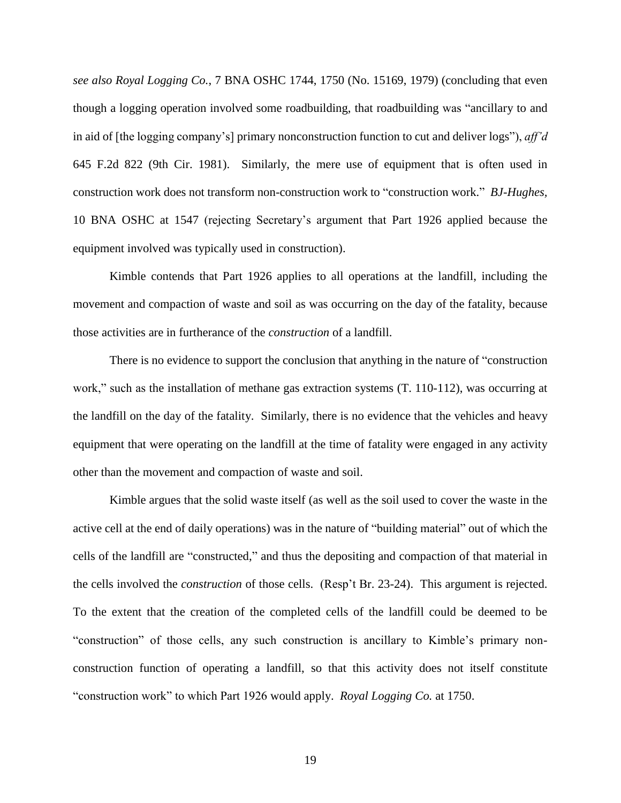*see also Royal Logging Co.*, 7 BNA OSHC 1744, 1750 (No. 15169, 1979) (concluding that even though a logging operation involved some roadbuilding, that roadbuilding was "ancillary to and in aid of [the logging company's] primary nonconstruction function to cut and deliver logs"), *aff'd* 645 F.2d 822 (9th Cir. 1981). Similarly, the mere use of equipment that is often used in construction work does not transform non-construction work to "construction work." *BJ-Hughes,* 10 BNA OSHC at 1547 (rejecting Secretary's argument that Part 1926 applied because the equipment involved was typically used in construction).

Kimble contends that Part 1926 applies to all operations at the landfill, including the movement and compaction of waste and soil as was occurring on the day of the fatality, because those activities are in furtherance of the *construction* of a landfill.

There is no evidence to support the conclusion that anything in the nature of "construction work," such as the installation of methane gas extraction systems  $(T. 110-112)$ , was occurring at the landfill on the day of the fatality. Similarly, there is no evidence that the vehicles and heavy equipment that were operating on the landfill at the time of fatality were engaged in any activity other than the movement and compaction of waste and soil.

Kimble argues that the solid waste itself (as well as the soil used to cover the waste in the active cell at the end of daily operations) was in the nature of "building material" out of which the cells of the landfill are "constructed," and thus the depositing and compaction of that material in the cells involved the *construction* of those cells. (Resp't Br. 23-24). This argument is rejected. To the extent that the creation of the completed cells of the landfill could be deemed to be "construction" of those cells, any such construction is ancillary to Kimble's primary nonconstruction function of operating a landfill, so that this activity does not itself constitute "construction work" to which Part 1926 would apply. *Royal Logging Co.* at 1750.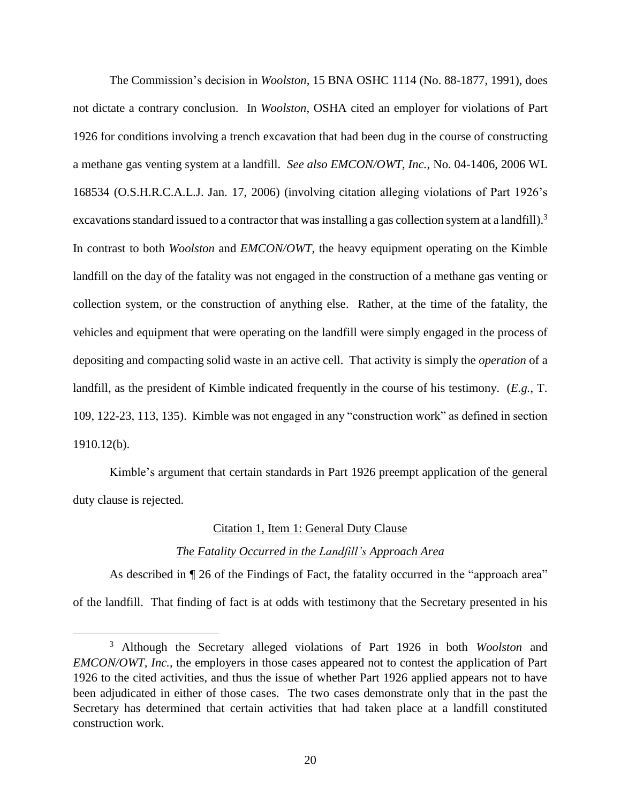The Commission's decision in *Woolston*, 15 BNA OSHC 1114 (No. 88-1877, 1991), does not dictate a contrary conclusion. In *Woolston*, OSHA cited an employer for violations of Part 1926 for conditions involving a trench excavation that had been dug in the course of constructing a methane gas venting system at a landfill. *See also EMCON/OWT, Inc.*, No. 04-1406, 2006 WL 168534 (O.S.H.R.C.A.L.J. Jan. 17, 2006) (involving citation alleging violations of Part 1926's excavations standard issued to a contractor that was installing a gas collection system at a landfill).<sup>3</sup> In contrast to both *Woolston* and *EMCON/OWT*, the heavy equipment operating on the Kimble landfill on the day of the fatality was not engaged in the construction of a methane gas venting or collection system, or the construction of anything else. Rather, at the time of the fatality, the vehicles and equipment that were operating on the landfill were simply engaged in the process of depositing and compacting solid waste in an active cell. That activity is simply the *operation* of a landfill, as the president of Kimble indicated frequently in the course of his testimony. (*E.g.*, T. 109, 122-23, 113, 135). Kimble was not engaged in any "construction work" as defined in section 1910.12(b).

Kimble's argument that certain standards in Part 1926 preempt application of the general duty clause is rejected.

### Citation 1, Item 1: General Duty Clause

### *The Fatality Occurred in the Landfill's Approach Area*

As described in  $\P$  26 of the Findings of Fact, the fatality occurred in the "approach area" of the landfill. That finding of fact is at odds with testimony that the Secretary presented in his

<sup>3</sup> Although the Secretary alleged violations of Part 1926 in both *Woolston* and *EMCON/OWT, Inc.*, the employers in those cases appeared not to contest the application of Part 1926 to the cited activities, and thus the issue of whether Part 1926 applied appears not to have been adjudicated in either of those cases. The two cases demonstrate only that in the past the Secretary has determined that certain activities that had taken place at a landfill constituted construction work.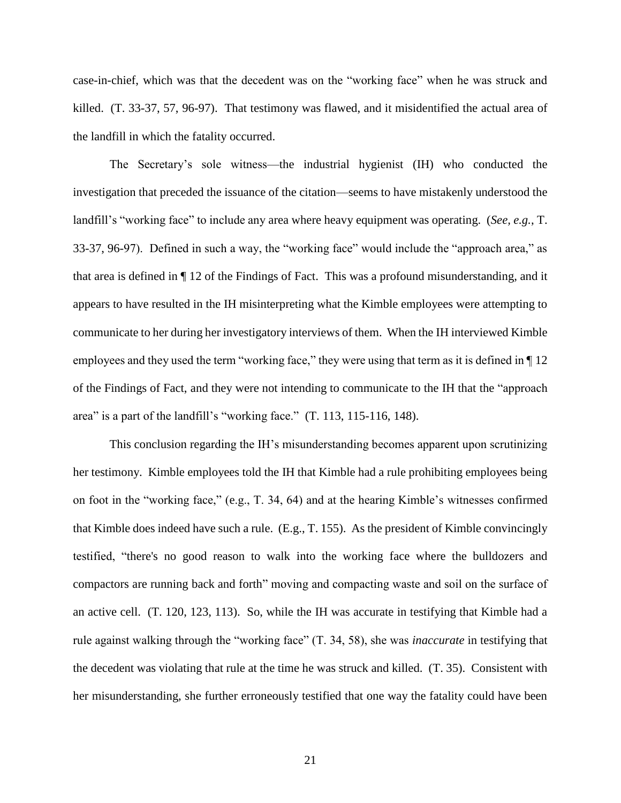case-in-chief, which was that the decedent was on the "working face" when he was struck and killed. (T. 33-37, 57, 96-97). That testimony was flawed, and it misidentified the actual area of the landfill in which the fatality occurred.

The Secretary's sole witness—the industrial hygienist (IH) who conducted the investigation that preceded the issuance of the citation—seems to have mistakenly understood the landfill's "working face" to include any area where heavy equipment was operating. (*See, e.g.*, T. 33-37, 96-97). Defined in such a way, the "working face" would include the "approach area," as that area is defined in ¶ 12 of the Findings of Fact. This was a profound misunderstanding, and it appears to have resulted in the IH misinterpreting what the Kimble employees were attempting to communicate to her during her investigatory interviews of them. When the IH interviewed Kimble employees and they used the term "working face," they were using that term as it is defined in  $\P$  12 of the Findings of Fact, and they were not intending to communicate to the IH that the "approach area" is a part of the landfill's "working face." (T. 113, 115-116, 148).

This conclusion regarding the IH's misunderstanding becomes apparent upon scrutinizing her testimony. Kimble employees told the IH that Kimble had a rule prohibiting employees being on foot in the "working face," (e.g., T. 34, 64) and at the hearing Kimble's witnesses confirmed that Kimble does indeed have such a rule. (E.g., T. 155). As the president of Kimble convincingly testified, "there's no good reason to walk into the working face where the bulldozers and compactors are running back and forth" moving and compacting waste and soil on the surface of an active cell. (T. 120, 123, 113). So, while the IH was accurate in testifying that Kimble had a rule against walking through the "working face" (T. 34, 58), she was *inaccurate* in testifying that the decedent was violating that rule at the time he was struck and killed. (T. 35). Consistent with her misunderstanding, she further erroneously testified that one way the fatality could have been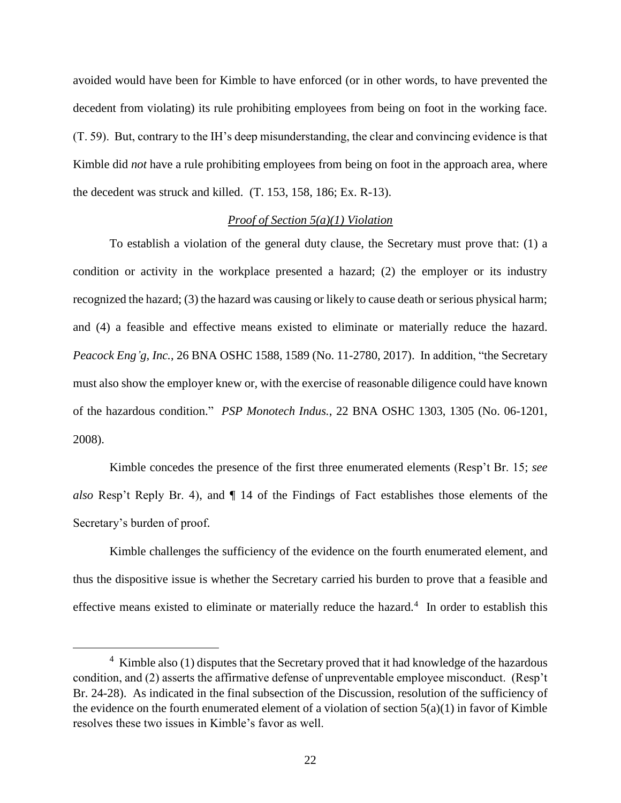avoided would have been for Kimble to have enforced (or in other words, to have prevented the decedent from violating) its rule prohibiting employees from being on foot in the working face. (T. 59). But, contrary to the IH's deep misunderstanding, the clear and convincing evidence is that Kimble did *not* have a rule prohibiting employees from being on foot in the approach area, where the decedent was struck and killed. (T. 153, 158, 186; Ex. R-13).

### *Proof of Section 5(a)(1) Violation*

To establish a violation of the general duty clause, the Secretary must prove that: (1) a condition or activity in the workplace presented a hazard; (2) the employer or its industry recognized the hazard; (3) the hazard was causing or likely to cause death or serious physical harm; and (4) a feasible and effective means existed to eliminate or materially reduce the hazard. *Peacock Eng'g, Inc.*, 26 BNA OSHC 1588, 1589 (No. 11-2780, 2017). In addition, "the Secretary must also show the employer knew or, with the exercise of reasonable diligence could have known of the hazardous condition." *PSP Monotech Indus.*, 22 BNA OSHC 1303, 1305 (No. 06-1201, 2008).

Kimble concedes the presence of the first three enumerated elements (Resp't Br. 15; *see also* Resp't Reply Br. 4), and ¶ 14 of the Findings of Fact establishes those elements of the Secretary's burden of proof.

Kimble challenges the sufficiency of the evidence on the fourth enumerated element, and thus the dispositive issue is whether the Secretary carried his burden to prove that a feasible and effective means existed to eliminate or materially reduce the hazard.<sup>4</sup> In order to establish this

 $4$  Kimble also (1) disputes that the Secretary proved that it had knowledge of the hazardous condition, and (2) asserts the affirmative defense of unpreventable employee misconduct. (Resp't Br. 24-28). As indicated in the final subsection of the Discussion, resolution of the sufficiency of the evidence on the fourth enumerated element of a violation of section  $5(a)(1)$  in favor of Kimble resolves these two issues in Kimble's favor as well.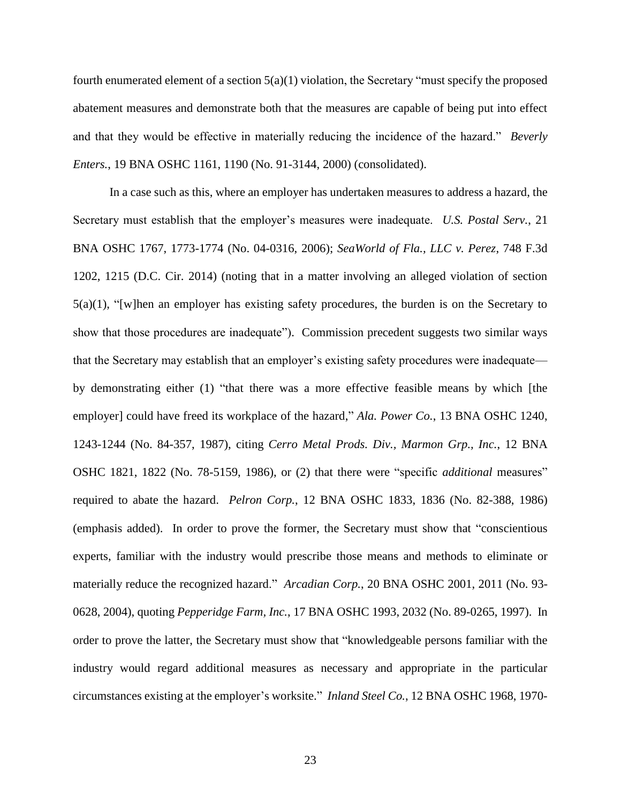fourth enumerated element of a section 5(a)(1) violation, the Secretary "must specify the proposed abatement measures and demonstrate both that the measures are capable of being put into effect and that they would be effective in materially reducing the incidence of the hazard." *Beverly Enters.*, 19 BNA OSHC 1161, 1190 (No. 91-3144, 2000) (consolidated).

In a case such as this, where an employer has undertaken measures to address a hazard, the Secretary must establish that the employer's measures were inadequate. *U.S. Postal Serv.*, 21 BNA OSHC 1767, 1773-1774 (No. 04-0316, 2006); *SeaWorld of Fla., LLC v. Perez*, 748 F.3d 1202, 1215 (D.C. Cir. 2014) (noting that in a matter involving an alleged violation of section 5(a)(1), "[w]hen an employer has existing safety procedures, the burden is on the Secretary to show that those procedures are inadequate"). Commission precedent suggests two similar ways that the Secretary may establish that an employer's existing safety procedures were inadequate by demonstrating either (1) "that there was a more effective feasible means by which [the employer] could have freed its workplace of the hazard," *Ala. Power Co.*, 13 BNA OSHC 1240, 1243-1244 (No. 84-357, 1987), citing *Cerro Metal Prods. Div., Marmon Grp., Inc.*, 12 BNA OSHC 1821, 1822 (No. 78-5159, 1986), or (2) that there were "specific *additional* measures" required to abate the hazard. *Pelron Corp.*, 12 BNA OSHC 1833, 1836 (No. 82-388, 1986) (emphasis added). In order to prove the former, the Secretary must show that "conscientious experts, familiar with the industry would prescribe those means and methods to eliminate or materially reduce the recognized hazard." *Arcadian Corp.*, 20 BNA OSHC 2001, 2011 (No. 93- 0628, 2004), quoting *Pepperidge Farm, Inc.*, 17 BNA OSHC 1993, 2032 (No. 89-0265, 1997). In order to prove the latter, the Secretary must show that "knowledgeable persons familiar with the industry would regard additional measures as necessary and appropriate in the particular circumstances existing at the employer's worksite." *Inland Steel Co.*, 12 BNA OSHC 1968, 1970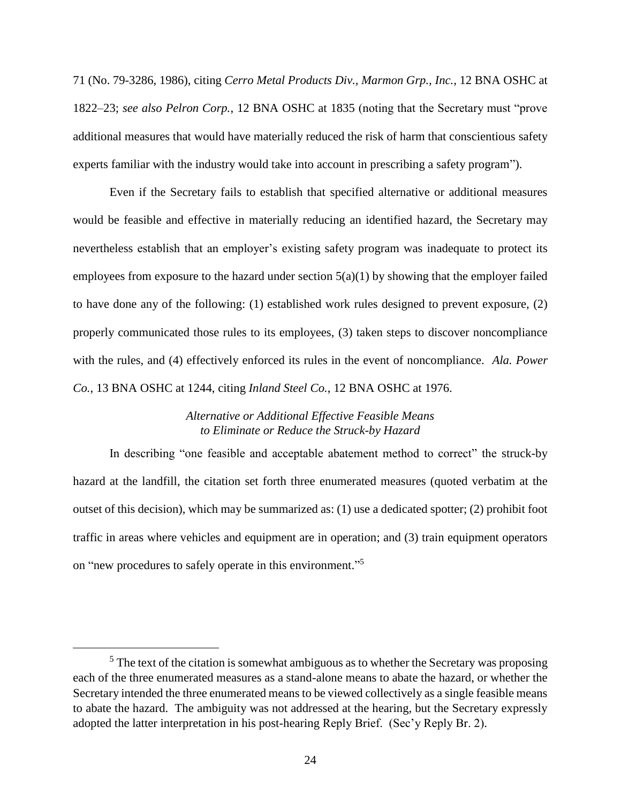71 (No. 79-3286, 1986), citing *Cerro Metal Products Div., Marmon Grp., Inc.*, 12 BNA OSHC at 1822–23; *see also Pelron Corp.*, 12 BNA OSHC at 1835 (noting that the Secretary must "prove additional measures that would have materially reduced the risk of harm that conscientious safety experts familiar with the industry would take into account in prescribing a safety program").

Even if the Secretary fails to establish that specified alternative or additional measures would be feasible and effective in materially reducing an identified hazard, the Secretary may nevertheless establish that an employer's existing safety program was inadequate to protect its employees from exposure to the hazard under section  $5(a)(1)$  by showing that the employer failed to have done any of the following: (1) established work rules designed to prevent exposure, (2) properly communicated those rules to its employees, (3) taken steps to discover noncompliance with the rules, and (4) effectively enforced its rules in the event of noncompliance. *Ala. Power Co.*, 13 BNA OSHC at 1244, citing *Inland Steel Co.*, 12 BNA OSHC at 1976.

## *Alternative or Additional Effective Feasible Means to Eliminate or Reduce the Struck-by Hazard*

In describing "one feasible and acceptable abatement method to correct" the struck-by hazard at the landfill, the citation set forth three enumerated measures (quoted verbatim at the outset of this decision), which may be summarized as: (1) use a dedicated spotter; (2) prohibit foot traffic in areas where vehicles and equipment are in operation; and (3) train equipment operators on "new procedures to safely operate in this environment."<sup>5</sup>

<sup>&</sup>lt;sup>5</sup> The text of the citation is somewhat ambiguous as to whether the Secretary was proposing each of the three enumerated measures as a stand-alone means to abate the hazard, or whether the Secretary intended the three enumerated means to be viewed collectively as a single feasible means to abate the hazard. The ambiguity was not addressed at the hearing, but the Secretary expressly adopted the latter interpretation in his post-hearing Reply Brief. (Sec'y Reply Br. 2).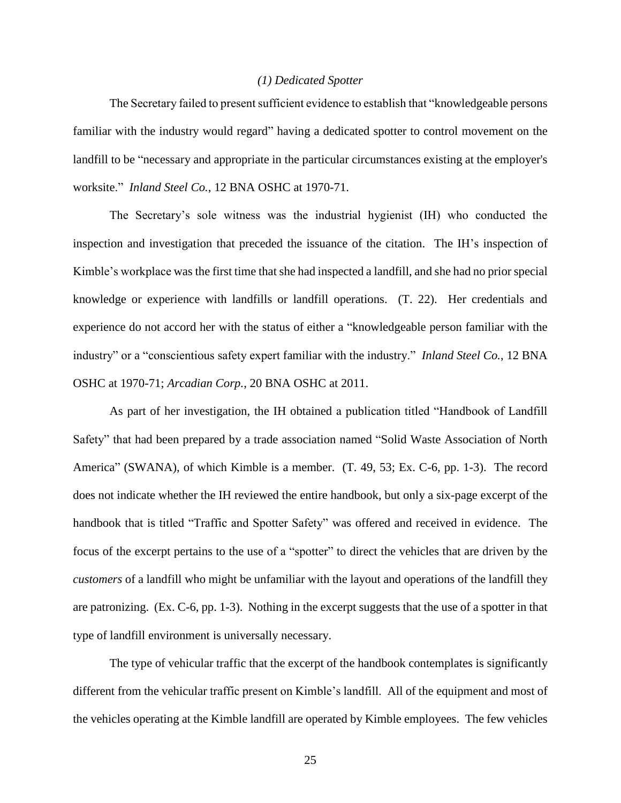### *(1) Dedicated Spotter*

The Secretary failed to present sufficient evidence to establish that "knowledgeable persons familiar with the industry would regard" having a dedicated spotter to control movement on the landfill to be "necessary and appropriate in the particular circumstances existing at the employer's worksite." *Inland Steel Co.*, 12 BNA OSHC at 1970-71.

The Secretary's sole witness was the industrial hygienist (IH) who conducted the inspection and investigation that preceded the issuance of the citation. The IH's inspection of Kimble's workplace was the first time that she had inspected a landfill, and she had no prior special knowledge or experience with landfills or landfill operations. (T. 22). Her credentials and experience do not accord her with the status of either a "knowledgeable person familiar with the industry" or a "conscientious safety expert familiar with the industry." *Inland Steel Co.*, 12 BNA OSHC at 1970-71; *Arcadian Corp.*, 20 BNA OSHC at 2011.

As part of her investigation, the IH obtained a publication titled "Handbook of Landfill Safety" that had been prepared by a trade association named "Solid Waste Association of North America" (SWANA), of which Kimble is a member. (T. 49, 53; Ex. C-6, pp. 1-3). The record does not indicate whether the IH reviewed the entire handbook, but only a six-page excerpt of the handbook that is titled "Traffic and Spotter Safety" was offered and received in evidence. The focus of the excerpt pertains to the use of a "spotter" to direct the vehicles that are driven by the *customers* of a landfill who might be unfamiliar with the layout and operations of the landfill they are patronizing. (Ex. C-6, pp. 1-3). Nothing in the excerpt suggests that the use of a spotter in that type of landfill environment is universally necessary.

The type of vehicular traffic that the excerpt of the handbook contemplates is significantly different from the vehicular traffic present on Kimble's landfill. All of the equipment and most of the vehicles operating at the Kimble landfill are operated by Kimble employees. The few vehicles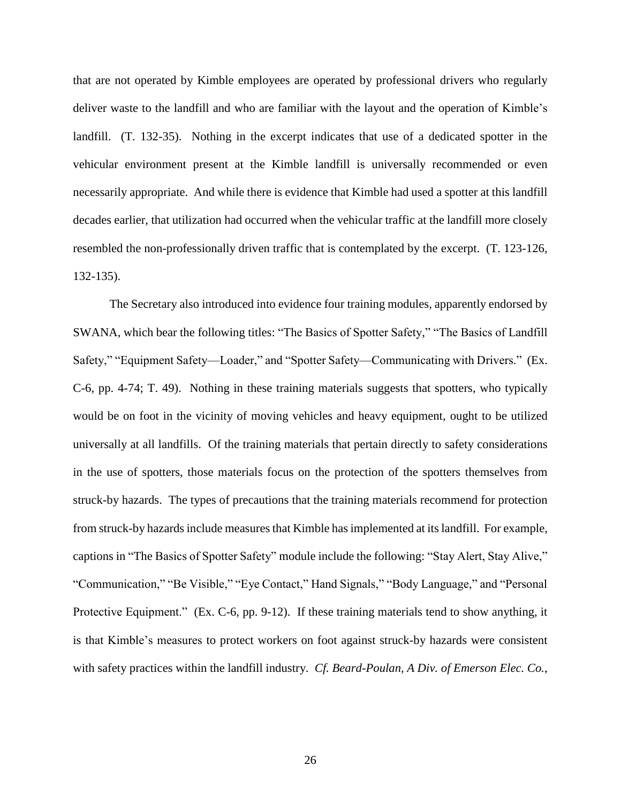that are not operated by Kimble employees are operated by professional drivers who regularly deliver waste to the landfill and who are familiar with the layout and the operation of Kimble's landfill. (T. 132-35). Nothing in the excerpt indicates that use of a dedicated spotter in the vehicular environment present at the Kimble landfill is universally recommended or even necessarily appropriate. And while there is evidence that Kimble had used a spotter at this landfill decades earlier, that utilization had occurred when the vehicular traffic at the landfill more closely resembled the non-professionally driven traffic that is contemplated by the excerpt. (T. 123-126, 132-135).

The Secretary also introduced into evidence four training modules, apparently endorsed by SWANA, which bear the following titles: "The Basics of Spotter Safety," "The Basics of Landfill Safety," "Equipment Safety—Loader," and "Spotter Safety—Communicating with Drivers." (Ex. C-6, pp. 4-74; T. 49). Nothing in these training materials suggests that spotters, who typically would be on foot in the vicinity of moving vehicles and heavy equipment, ought to be utilized universally at all landfills. Of the training materials that pertain directly to safety considerations in the use of spotters, those materials focus on the protection of the spotters themselves from struck-by hazards. The types of precautions that the training materials recommend for protection from struck-by hazards include measures that Kimble hasimplemented at its landfill. For example, captions in "The Basics of Spotter Safety" module include the following: "Stay Alert, Stay Alive," "Communication," "Be Visible," "Eye Contact," Hand Signals," "Body Language," and "Personal Protective Equipment." (Ex. C-6, pp. 9-12). If these training materials tend to show anything, it is that Kimble's measures to protect workers on foot against struck-by hazards were consistent with safety practices within the landfill industry. *Cf. Beard-Poulan, A Div. of Emerson Elec. Co.*,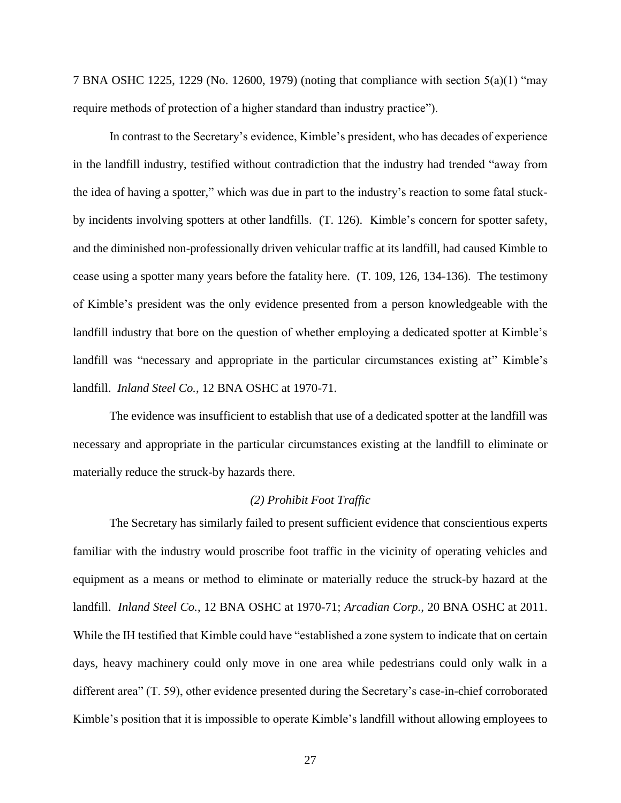7 BNA OSHC 1225, 1229 (No. 12600, 1979) (noting that compliance with section 5(a)(1) "may require methods of protection of a higher standard than industry practice").

In contrast to the Secretary's evidence, Kimble's president, who has decades of experience in the landfill industry, testified without contradiction that the industry had trended "away from the idea of having a spotter," which was due in part to the industry's reaction to some fatal stuckby incidents involving spotters at other landfills. (T. 126). Kimble's concern for spotter safety, and the diminished non-professionally driven vehicular traffic at its landfill, had caused Kimble to cease using a spotter many years before the fatality here. (T. 109, 126, 134-136). The testimony of Kimble's president was the only evidence presented from a person knowledgeable with the landfill industry that bore on the question of whether employing a dedicated spotter at Kimble's landfill was "necessary and appropriate in the particular circumstances existing at" Kimble's landfill. *Inland Steel Co.*, 12 BNA OSHC at 1970-71.

The evidence was insufficient to establish that use of a dedicated spotter at the landfill was necessary and appropriate in the particular circumstances existing at the landfill to eliminate or materially reduce the struck-by hazards there.

#### *(2) Prohibit Foot Traffic*

The Secretary has similarly failed to present sufficient evidence that conscientious experts familiar with the industry would proscribe foot traffic in the vicinity of operating vehicles and equipment as a means or method to eliminate or materially reduce the struck-by hazard at the landfill. *Inland Steel Co.*, 12 BNA OSHC at 1970-71; *Arcadian Corp.*, 20 BNA OSHC at 2011. While the IH testified that Kimble could have "established a zone system to indicate that on certain days, heavy machinery could only move in one area while pedestrians could only walk in a different area" (T. 59), other evidence presented during the Secretary's case-in-chief corroborated Kimble's position that it is impossible to operate Kimble's landfill without allowing employees to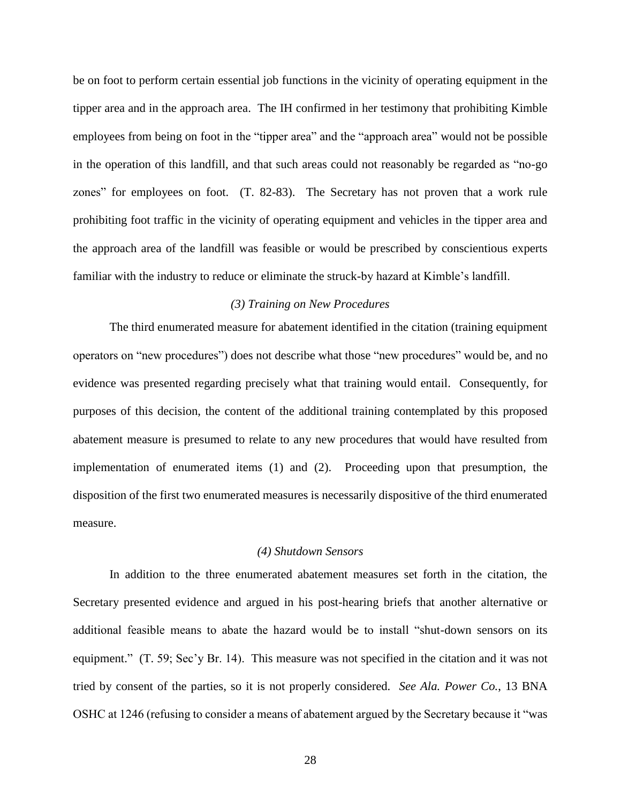be on foot to perform certain essential job functions in the vicinity of operating equipment in the tipper area and in the approach area. The IH confirmed in her testimony that prohibiting Kimble employees from being on foot in the "tipper area" and the "approach area" would not be possible in the operation of this landfill, and that such areas could not reasonably be regarded as "no-go zones" for employees on foot. (T. 82-83). The Secretary has not proven that a work rule prohibiting foot traffic in the vicinity of operating equipment and vehicles in the tipper area and the approach area of the landfill was feasible or would be prescribed by conscientious experts familiar with the industry to reduce or eliminate the struck-by hazard at Kimble's landfill.

### *(3) Training on New Procedures*

The third enumerated measure for abatement identified in the citation (training equipment operators on "new procedures") does not describe what those "new procedures" would be, and no evidence was presented regarding precisely what that training would entail. Consequently, for purposes of this decision, the content of the additional training contemplated by this proposed abatement measure is presumed to relate to any new procedures that would have resulted from implementation of enumerated items (1) and (2). Proceeding upon that presumption, the disposition of the first two enumerated measures is necessarily dispositive of the third enumerated measure.

### *(4) Shutdown Sensors*

In addition to the three enumerated abatement measures set forth in the citation, the Secretary presented evidence and argued in his post-hearing briefs that another alternative or additional feasible means to abate the hazard would be to install "shut-down sensors on its equipment." (T. 59; Sec'y Br. 14). This measure was not specified in the citation and it was not tried by consent of the parties, so it is not properly considered. *See Ala. Power Co.*, 13 BNA OSHC at 1246 (refusing to consider a means of abatement argued by the Secretary because it "was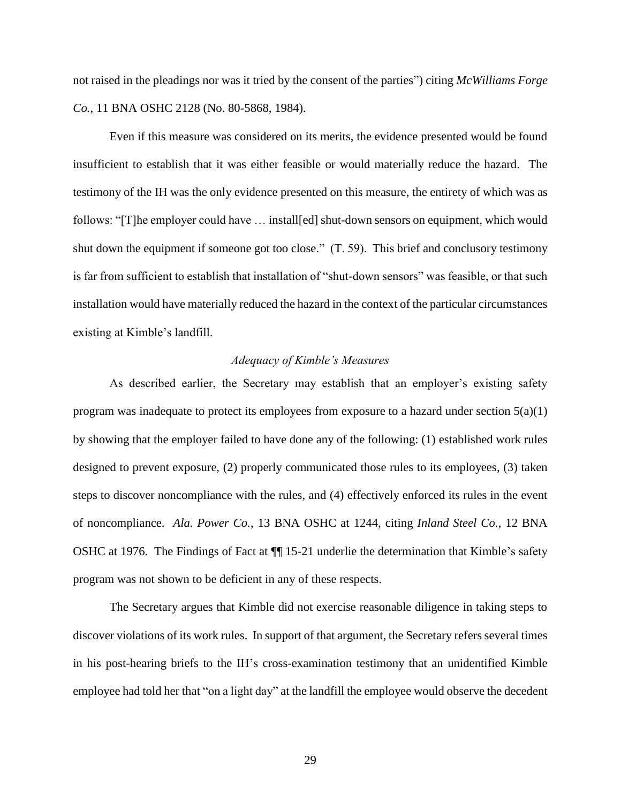not raised in the pleadings nor was it tried by the consent of the parties") citing *McWilliams Forge Co.*, 11 BNA OSHC 2128 (No. 80-5868, 1984).

Even if this measure was considered on its merits, the evidence presented would be found insufficient to establish that it was either feasible or would materially reduce the hazard. The testimony of the IH was the only evidence presented on this measure, the entirety of which was as follows: "[T]he employer could have … install[ed] shut-down sensors on equipment, which would shut down the equipment if someone got too close." (T. 59). This brief and conclusory testimony is far from sufficient to establish that installation of "shut-down sensors" was feasible, or that such installation would have materially reduced the hazard in the context of the particular circumstances existing at Kimble's landfill.

### *Adequacy of Kimble's Measures*

As described earlier, the Secretary may establish that an employer's existing safety program was inadequate to protect its employees from exposure to a hazard under section  $5(a)(1)$ by showing that the employer failed to have done any of the following: (1) established work rules designed to prevent exposure, (2) properly communicated those rules to its employees, (3) taken steps to discover noncompliance with the rules, and (4) effectively enforced its rules in the event of noncompliance. *Ala. Power Co.*, 13 BNA OSHC at 1244, citing *Inland Steel Co.*, 12 BNA OSHC at 1976. The Findings of Fact at ¶¶ 15-21 underlie the determination that Kimble's safety program was not shown to be deficient in any of these respects.

The Secretary argues that Kimble did not exercise reasonable diligence in taking steps to discover violations of its work rules. In support of that argument, the Secretary refers several times in his post-hearing briefs to the IH's cross-examination testimony that an unidentified Kimble employee had told her that "on a light day" at the landfill the employee would observe the decedent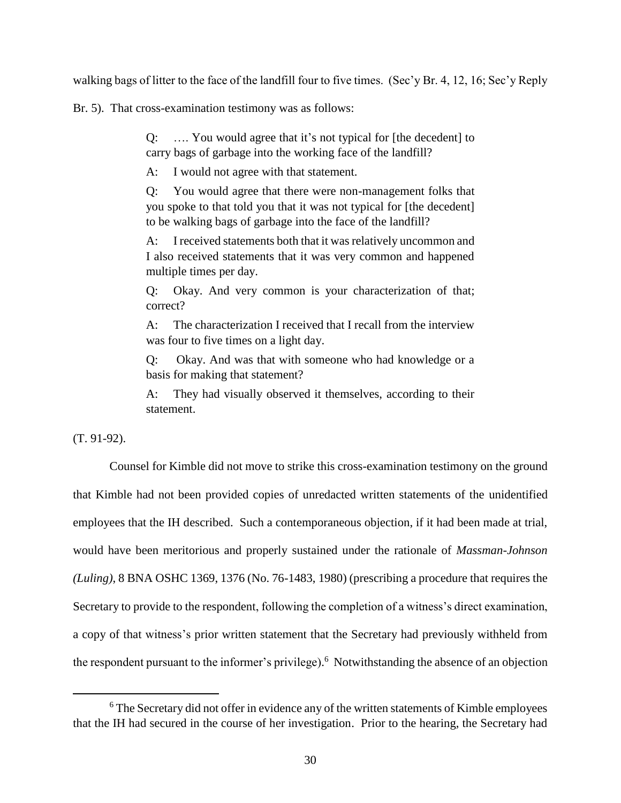walking bags of litter to the face of the landfill four to five times. (Sec'y Br. 4, 12, 16; Sec'y Reply

Br. 5). That cross-examination testimony was as follows:

Q: …. You would agree that it's not typical for [the decedent] to carry bags of garbage into the working face of the landfill?

A: I would not agree with that statement.

Q: You would agree that there were non-management folks that you spoke to that told you that it was not typical for [the decedent] to be walking bags of garbage into the face of the landfill?

A: I received statements both that it was relatively uncommon and I also received statements that it was very common and happened multiple times per day.

Q: Okay. And very common is your characterization of that; correct?

A: The characterization I received that I recall from the interview was four to five times on a light day.

Q: Okay. And was that with someone who had knowledge or a basis for making that statement?

A: They had visually observed it themselves, according to their statement.

(T. 91-92).

 $\overline{a}$ 

Counsel for Kimble did not move to strike this cross-examination testimony on the ground that Kimble had not been provided copies of unredacted written statements of the unidentified employees that the IH described. Such a contemporaneous objection, if it had been made at trial, would have been meritorious and properly sustained under the rationale of *Massman-Johnson (Luling)*, 8 BNA OSHC 1369, 1376 (No. 76-1483, 1980) (prescribing a procedure that requires the Secretary to provide to the respondent, following the completion of a witness's direct examination, a copy of that witness's prior written statement that the Secretary had previously withheld from the respondent pursuant to the informer's privilege). <sup>6</sup> Notwithstanding the absence of an objection

<sup>&</sup>lt;sup>6</sup> The Secretary did not offer in evidence any of the written statements of Kimble employees that the IH had secured in the course of her investigation. Prior to the hearing, the Secretary had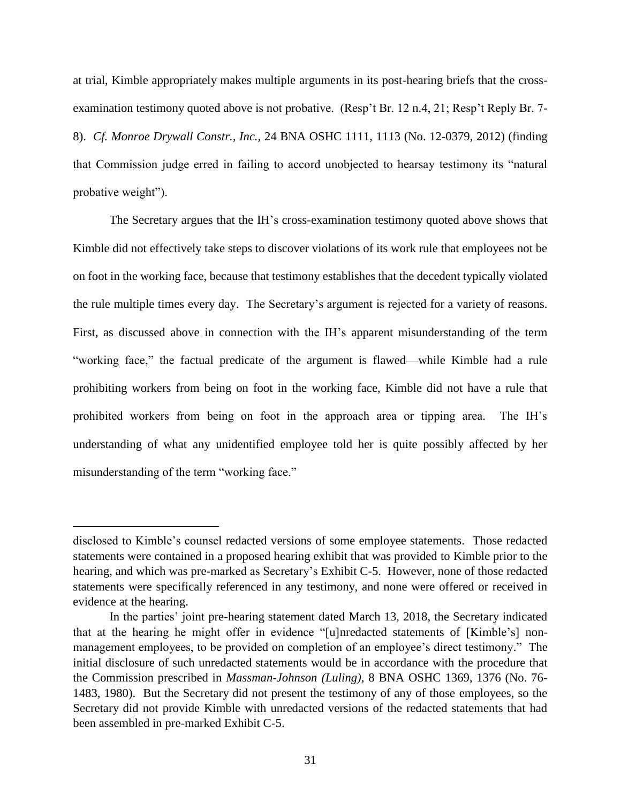at trial, Kimble appropriately makes multiple arguments in its post-hearing briefs that the crossexamination testimony quoted above is not probative. (Resp't Br. 12 n.4, 21; Resp't Reply Br. 7- 8). *Cf. Monroe Drywall Constr., Inc.,* 24 BNA OSHC 1111, 1113 (No. 12-0379, 2012) (finding that Commission judge erred in failing to accord unobjected to hearsay testimony its "natural probative weight").

The Secretary argues that the IH's cross-examination testimony quoted above shows that Kimble did not effectively take steps to discover violations of its work rule that employees not be on foot in the working face, because that testimony establishes that the decedent typically violated the rule multiple times every day. The Secretary's argument is rejected for a variety of reasons. First, as discussed above in connection with the IH's apparent misunderstanding of the term "working face," the factual predicate of the argument is flawed—while Kimble had a rule prohibiting workers from being on foot in the working face, Kimble did not have a rule that prohibited workers from being on foot in the approach area or tipping area. The IH's understanding of what any unidentified employee told her is quite possibly affected by her misunderstanding of the term "working face."

disclosed to Kimble's counsel redacted versions of some employee statements. Those redacted statements were contained in a proposed hearing exhibit that was provided to Kimble prior to the hearing, and which was pre-marked as Secretary's Exhibit C-5. However, none of those redacted statements were specifically referenced in any testimony, and none were offered or received in evidence at the hearing.

In the parties' joint pre-hearing statement dated March 13, 2018, the Secretary indicated that at the hearing he might offer in evidence "[u]nredacted statements of [Kimble's] nonmanagement employees, to be provided on completion of an employee's direct testimony." The initial disclosure of such unredacted statements would be in accordance with the procedure that the Commission prescribed in *Massman-Johnson (Luling)*, 8 BNA OSHC 1369, 1376 (No. 76- 1483, 1980). But the Secretary did not present the testimony of any of those employees, so the Secretary did not provide Kimble with unredacted versions of the redacted statements that had been assembled in pre-marked Exhibit C-5.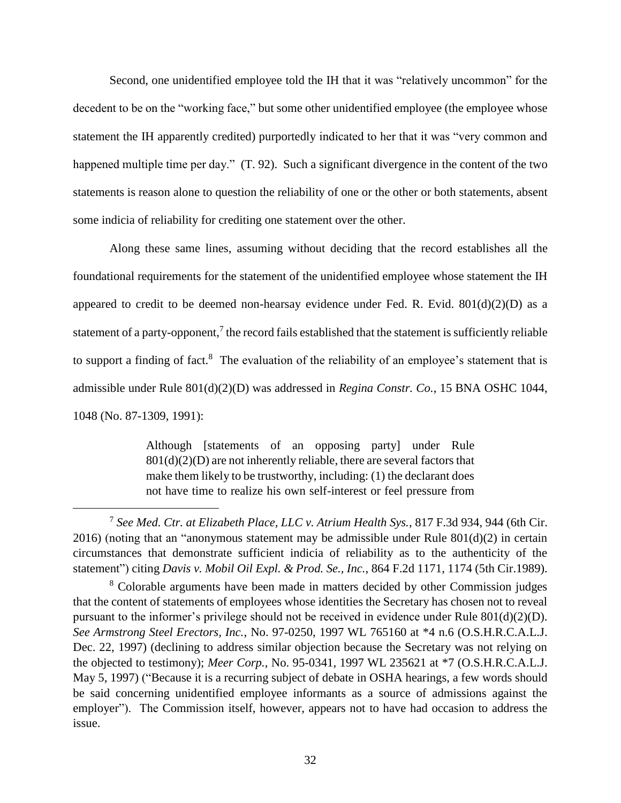Second, one unidentified employee told the IH that it was "relatively uncommon" for the decedent to be on the "working face," but some other unidentified employee (the employee whose statement the IH apparently credited) purportedly indicated to her that it was "very common and happened multiple time per day." (T. 92). Such a significant divergence in the content of the two statements is reason alone to question the reliability of one or the other or both statements, absent some indicia of reliability for crediting one statement over the other.

Along these same lines, assuming without deciding that the record establishes all the foundational requirements for the statement of the unidentified employee whose statement the IH appeared to credit to be deemed non-hearsay evidence under Fed. R. Evid.  $801(d)(2)(D)$  as a statement of a party-opponent,<sup>7</sup> the record fails established that the statement is sufficiently reliable to support a finding of fact.<sup>8</sup> The evaluation of the reliability of an employee's statement that is admissible under Rule 801(d)(2)(D) was addressed in *Regina Constr. Co.*, 15 BNA OSHC 1044, 1048 (No. 87-1309, 1991):

> Although [statements of an opposing party] under Rule  $801(d)(2)(D)$  are not inherently reliable, there are several factors that make them likely to be trustworthy, including: (1) the declarant does not have time to realize his own self-interest or feel pressure from

<sup>7</sup> *See Med. Ctr. at Elizabeth Place, LLC v. Atrium Health Sys.*, 817 F.3d 934, 944 (6th Cir. 2016) (noting that an "anonymous statement may be admissible under Rule 801(d)(2) in certain circumstances that demonstrate sufficient indicia of reliability as to the authenticity of the statement") citing *Davis v. Mobil Oil Expl. & Prod. Se., Inc.*, 864 F.2d 1171, 1174 (5th Cir.1989).

<sup>8</sup> Colorable arguments have been made in matters decided by other Commission judges that the content of statements of employees whose identities the Secretary has chosen not to reveal pursuant to the informer's privilege should not be received in evidence under Rule 801(d)(2)(D). *See Armstrong Steel Erectors, Inc.*, No. 97-0250, 1997 WL 765160 at \*4 n.6 (O.S.H.R.C.A.L.J. Dec. 22, 1997) (declining to address similar objection because the Secretary was not relying on the objected to testimony); *Meer Corp.*, No. 95-0341, 1997 WL 235621 at \*7 (O.S.H.R.C.A.L.J. May 5, 1997) ("Because it is a recurring subject of debate in OSHA hearings, a few words should be said concerning unidentified employee informants as a source of admissions against the employer"). The Commission itself, however, appears not to have had occasion to address the issue.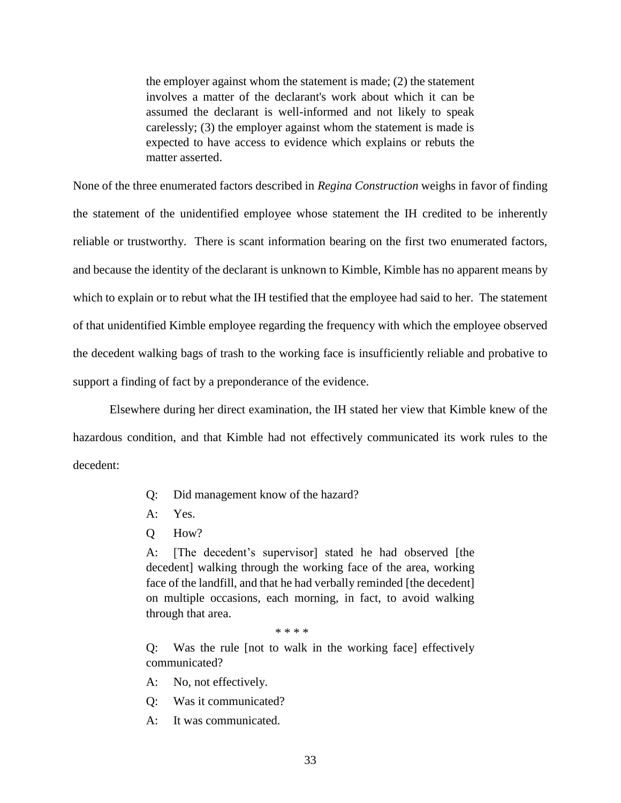the employer against whom the statement is made; (2) the statement involves a matter of the declarant's work about which it can be assumed the declarant is well-informed and not likely to speak carelessly; (3) the employer against whom the statement is made is expected to have access to evidence which explains or rebuts the matter asserted.

None of the three enumerated factors described in *Regina Construction* weighs in favor of finding the statement of the unidentified employee whose statement the IH credited to be inherently reliable or trustworthy. There is scant information bearing on the first two enumerated factors, and because the identity of the declarant is unknown to Kimble, Kimble has no apparent means by which to explain or to rebut what the IH testified that the employee had said to her. The statement of that unidentified Kimble employee regarding the frequency with which the employee observed the decedent walking bags of trash to the working face is insufficiently reliable and probative to support a finding of fact by a preponderance of the evidence.

Elsewhere during her direct examination, the IH stated her view that Kimble knew of the hazardous condition, and that Kimble had not effectively communicated its work rules to the decedent:

- Q: Did management know of the hazard?
- A: Yes.
- Q How?

A: [The decedent's supervisor] stated he had observed [the decedent] walking through the working face of the area, working face of the landfill, and that he had verbally reminded [the decedent] on multiple occasions, each morning, in fact, to avoid walking through that area.

\* \* \* \*

Q: Was the rule [not to walk in the working face] effectively communicated?

A: No, not effectively.

- Q: Was it communicated?
- A: It was communicated.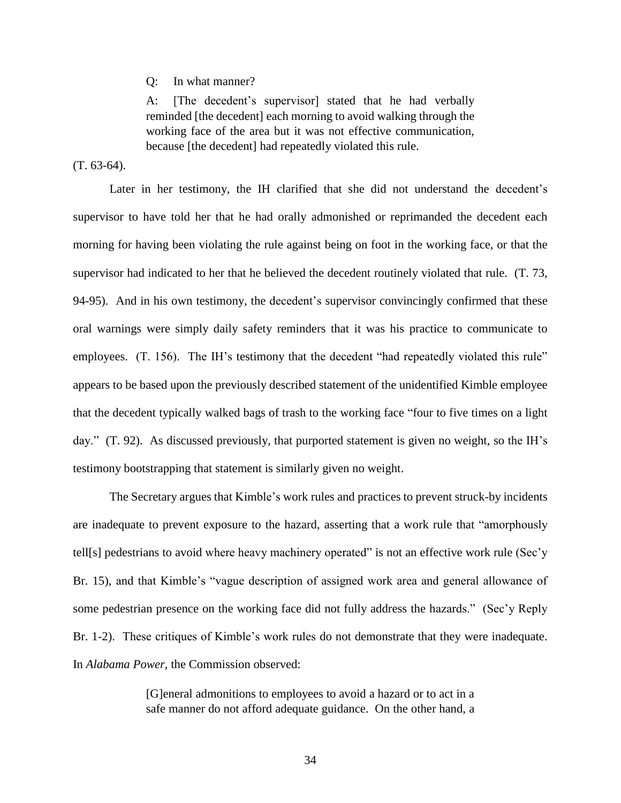Q: In what manner?

A: [The decedent's supervisor] stated that he had verbally reminded [the decedent] each morning to avoid walking through the working face of the area but it was not effective communication, because [the decedent] had repeatedly violated this rule.

 $(T. 63-64)$ .

Later in her testimony, the IH clarified that she did not understand the decedent's supervisor to have told her that he had orally admonished or reprimanded the decedent each morning for having been violating the rule against being on foot in the working face, or that the supervisor had indicated to her that he believed the decedent routinely violated that rule. (T. 73, 94-95). And in his own testimony, the decedent's supervisor convincingly confirmed that these oral warnings were simply daily safety reminders that it was his practice to communicate to employees. (T. 156). The IH's testimony that the decedent "had repeatedly violated this rule" appears to be based upon the previously described statement of the unidentified Kimble employee that the decedent typically walked bags of trash to the working face "four to five times on a light day." (T. 92). As discussed previously, that purported statement is given no weight, so the IH's testimony bootstrapping that statement is similarly given no weight.

The Secretary argues that Kimble's work rules and practices to prevent struck-by incidents are inadequate to prevent exposure to the hazard, asserting that a work rule that "amorphously tell[s] pedestrians to avoid where heavy machinery operated" is not an effective work rule (Sec'y Br. 15), and that Kimble's "vague description of assigned work area and general allowance of some pedestrian presence on the working face did not fully address the hazards." (Sec'y Reply Br. 1-2). These critiques of Kimble's work rules do not demonstrate that they were inadequate. In *Alabama Power*, the Commission observed:

> [G]eneral admonitions to employees to avoid a hazard or to act in a safe manner do not afford adequate guidance. On the other hand, a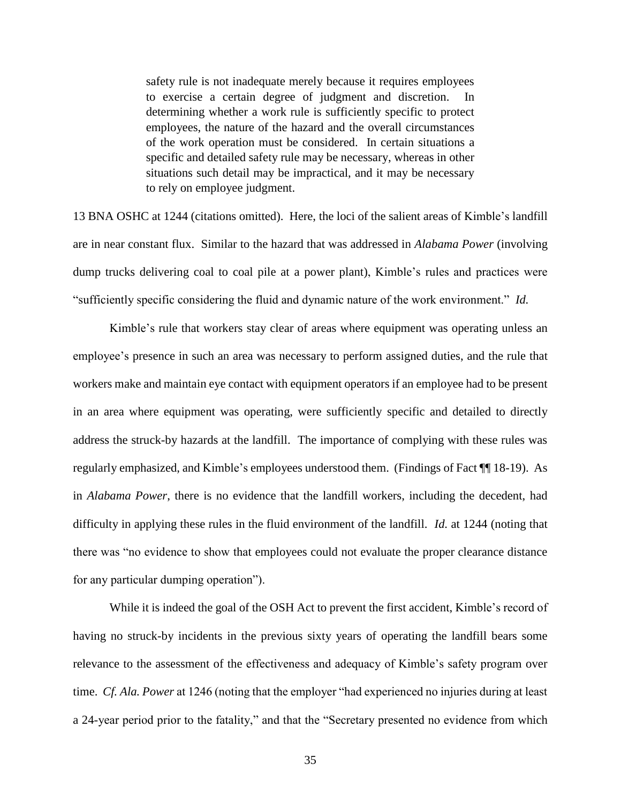safety rule is not inadequate merely because it requires employees to exercise a certain degree of judgment and discretion. In determining whether a work rule is sufficiently specific to protect employees, the nature of the hazard and the overall circumstances of the work operation must be considered. In certain situations a specific and detailed safety rule may be necessary, whereas in other situations such detail may be impractical, and it may be necessary to rely on employee judgment.

13 BNA OSHC at 1244 (citations omitted). Here, the loci of the salient areas of Kimble's landfill are in near constant flux. Similar to the hazard that was addressed in *Alabama Power* (involving dump trucks delivering coal to coal pile at a power plant), Kimble's rules and practices were "sufficiently specific considering the fluid and dynamic nature of the work environment." *Id.*

Kimble's rule that workers stay clear of areas where equipment was operating unless an employee's presence in such an area was necessary to perform assigned duties, and the rule that workers make and maintain eye contact with equipment operators if an employee had to be present in an area where equipment was operating, were sufficiently specific and detailed to directly address the struck-by hazards at the landfill. The importance of complying with these rules was regularly emphasized, and Kimble's employees understood them. (Findings of Fact ¶¶ 18-19). As in *Alabama Power*, there is no evidence that the landfill workers, including the decedent, had difficulty in applying these rules in the fluid environment of the landfill. *Id.* at 1244 (noting that there was "no evidence to show that employees could not evaluate the proper clearance distance for any particular dumping operation").

While it is indeed the goal of the OSH Act to prevent the first accident, Kimble's record of having no struck-by incidents in the previous sixty years of operating the landfill bears some relevance to the assessment of the effectiveness and adequacy of Kimble's safety program over time. *Cf. Ala. Power* at 1246 (noting that the employer "had experienced no injuries during at least a 24-year period prior to the fatality," and that the "Secretary presented no evidence from which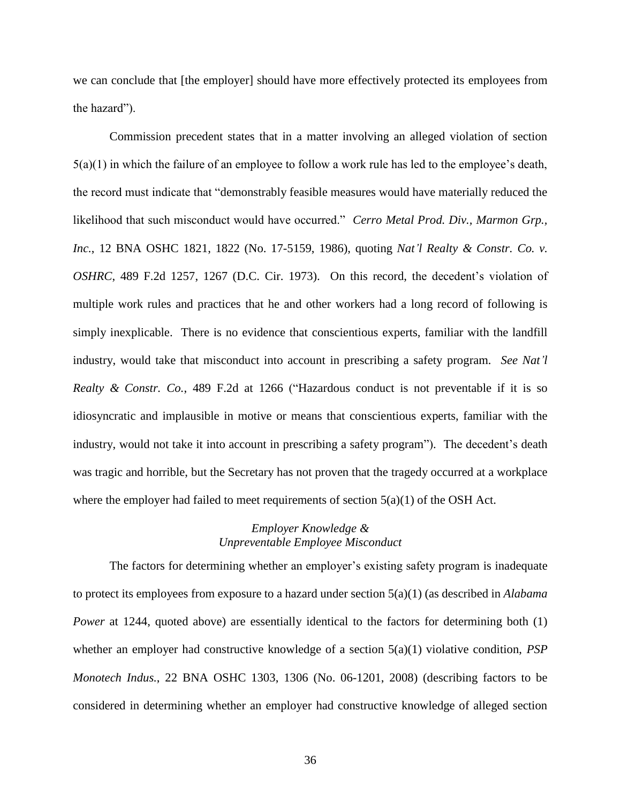we can conclude that [the employer] should have more effectively protected its employees from the hazard").

Commission precedent states that in a matter involving an alleged violation of section 5(a)(1) in which the failure of an employee to follow a work rule has led to the employee's death, the record must indicate that "demonstrably feasible measures would have materially reduced the likelihood that such misconduct would have occurred." *Cerro Metal Prod. Div., Marmon Grp., Inc.*, 12 BNA OSHC 1821, 1822 (No. 17-5159, 1986), quoting *Nat'l Realty & Constr. Co. v. OSHRC*, 489 F.2d 1257, 1267 (D.C. Cir. 1973). On this record, the decedent's violation of multiple work rules and practices that he and other workers had a long record of following is simply inexplicable. There is no evidence that conscientious experts, familiar with the landfill industry, would take that misconduct into account in prescribing a safety program. *See Nat'l Realty & Constr. Co.*, 489 F.2d at 1266 ("Hazardous conduct is not preventable if it is so idiosyncratic and implausible in motive or means that conscientious experts, familiar with the industry, would not take it into account in prescribing a safety program"). The decedent's death was tragic and horrible, but the Secretary has not proven that the tragedy occurred at a workplace where the employer had failed to meet requirements of section  $5(a)(1)$  of the OSH Act.

### *Employer Knowledge & Unpreventable Employee Misconduct*

The factors for determining whether an employer's existing safety program is inadequate to protect its employees from exposure to a hazard under section 5(a)(1) (as described in *Alabama Power* at 1244, quoted above) are essentially identical to the factors for determining both (1) whether an employer had constructive knowledge of a section 5(a)(1) violative condition, *PSP Monotech Indus.*, 22 BNA OSHC 1303, 1306 (No. 06-1201, 2008) (describing factors to be considered in determining whether an employer had constructive knowledge of alleged section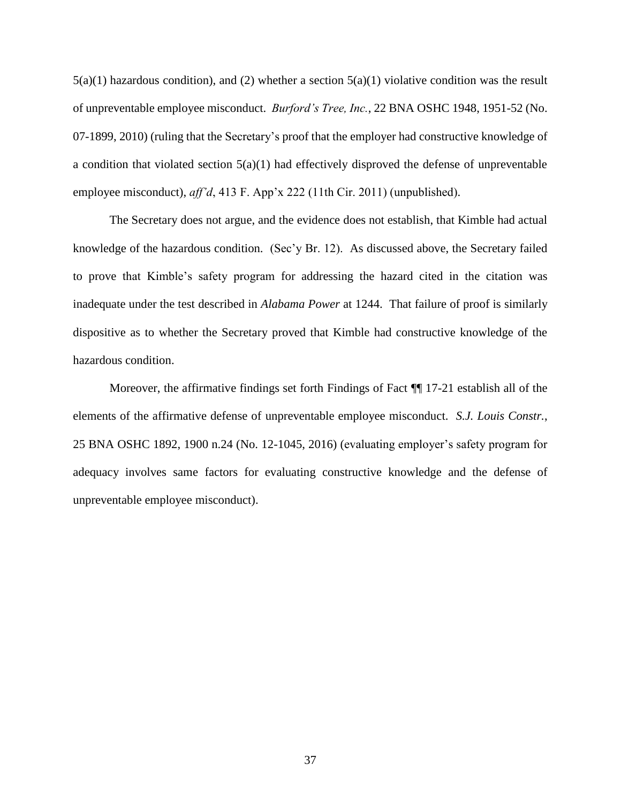$5(a)(1)$  hazardous condition), and (2) whether a section  $5(a)(1)$  violative condition was the result of unpreventable employee misconduct. *Burford's Tree, Inc.*, 22 BNA OSHC 1948, 1951-52 (No. 07-1899, 2010) (ruling that the Secretary's proof that the employer had constructive knowledge of a condition that violated section 5(a)(1) had effectively disproved the defense of unpreventable employee misconduct), *aff'd*, 413 F. App'x 222 (11th Cir. 2011) (unpublished).

The Secretary does not argue, and the evidence does not establish, that Kimble had actual knowledge of the hazardous condition. (Sec'y Br. 12). As discussed above, the Secretary failed to prove that Kimble's safety program for addressing the hazard cited in the citation was inadequate under the test described in *Alabama Power* at 1244. That failure of proof is similarly dispositive as to whether the Secretary proved that Kimble had constructive knowledge of the hazardous condition.

Moreover, the affirmative findings set forth Findings of Fact ¶¶ 17-21 establish all of the elements of the affirmative defense of unpreventable employee misconduct. *S.J. Louis Constr.*, 25 BNA OSHC 1892, 1900 n.24 (No. 12-1045, 2016) (evaluating employer's safety program for adequacy involves same factors for evaluating constructive knowledge and the defense of unpreventable employee misconduct).